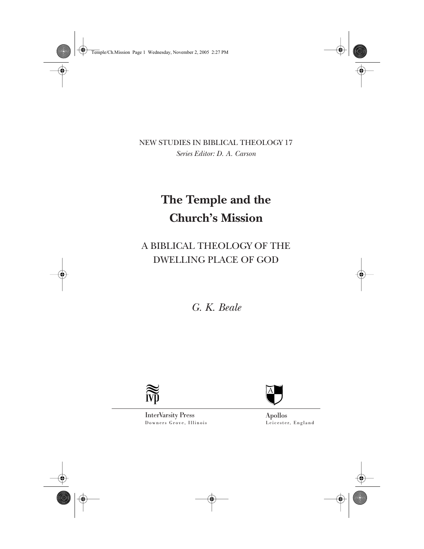Temple/Ch.Mission Page 1 Wednesday, November 2, 2005 2:27 PM

NEW STUDIES IN BIBLICAL THEOLOGY 17 *Series Editor: D. A. Carson*

# **The Temple and the Church's Mission**

A BIBLICAL THEOLOGY OF THE DWELLING PLACE OF GOD

*G. K. Beale*



InterVarsity Press



Downers Grove, Illinois

Leicester, England Apollos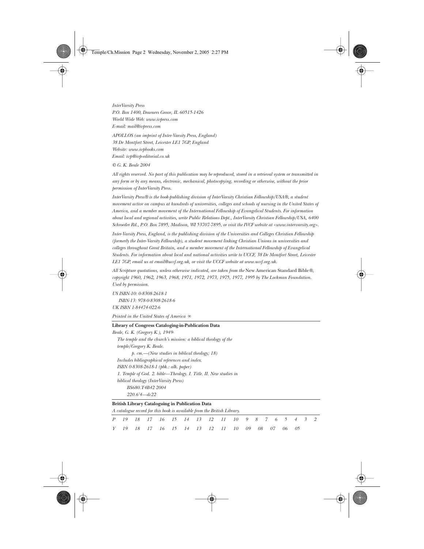Temple/Ch.Mission Page 2 Wednesday, November 2, 2005 2:27 PM

*InterVarsity Press P.O. Box 1400, Downers Grove, IL 60515-1426 World Wide Web: www.ivpress.com E-mail: mail@ivpress.com*

*APOLLOS (an imprint of Inter-Varsity Press, England) 38 De Montfort Street, Leicester LE1 7GP, England Website: www.ivpbooks.com Email: ivp@ivp-editorial.co.uk*

*© G. K. Beale 2004* 

*All rights reserved. No part of this publication may be reproduced, stored in a retrieval system or transmitted in any form or by any means, electronic, mechanical, photocopying, recording or otherwise, without the prior permission of InterVarsity Press.*

*InterVarsity Press® is the book-publishing division of InterVarsity Christian Fellowship/USA®, a student movement active on campus at hundreds of universities, colleges and schools of nursing in the United States of America, and a member movement of the International Fellowship of Evangelical Students. For information about local and regional activities, write Public Relations Dept., InterVarsity Christian Fellowship/USA, 6400 Schroeder Rd., P.O. Box 7895, Madison, WI 53707-7895, or visit the IVCF website at <www.intervarsity.org>.* 

*Inter-Varsity Press, England, is the publishing division of the Universities and Colleges Christian Fellowship (formerly the Inter-Varsity Fellowship), a student movement linking Christian Unions in universities and colleges throughout Great Britain, and a member movement of the International Fellowship of Evangelical Students. For information about local and national activities write to UCCF, 38 De Montfort Street, Leicester LE1 7GP, email us at email@uccf.org.uk, or visit the UCCF website at www.uccf.org.uk.*

*All Scripture quotations, unless otherwise indicated, are taken from the* New American Standard Bible*®, copyright 1960, 1962, 1963, 1968, 1971, 1972, 1973, 1975, 1977, 1995 by The Lockman Foundation. Used by permission.*

*US ISBN-10: 0-8308-2618-1 ISBN-13: 978-0-8308-2618-6 UK ISBN 1-84474-022-6*

*Printed in the United States of America* ∞

#### **Library of Congress Cataloging-in-Publication Data**

*Beale, G. K. (Gregory K.), 1949- The temple and the church's mission: a biblical theology of the temple/Gregory K. Beale. p. cm.—(New studies in biblical theology; 18) Includes bibliographical references and index. ISBN 0-8308-2618-1 (pbk.: alk. paper) 1. Temple of God. 2. bible—Theology. I. Title. II. New studies in biblical theology (InterVarsity Press) BS680.T4B42 2004 220.6'4—dc22*

### **British Library Cataloguing in Publication Data**

| A catalogue record for this book is available from the British Library. |  |  |  |  |  |  |  |  |  |  |  |  |  |  |
|-------------------------------------------------------------------------|--|--|--|--|--|--|--|--|--|--|--|--|--|--|
| P 19 18 17 16 15 14 13 12 11 10 9 8 7 6 5 4 3 2                         |  |  |  |  |  |  |  |  |  |  |  |  |  |  |
| Y 19 18 17 16 15 14 13 12 11 10 09 08 07 06 05                          |  |  |  |  |  |  |  |  |  |  |  |  |  |  |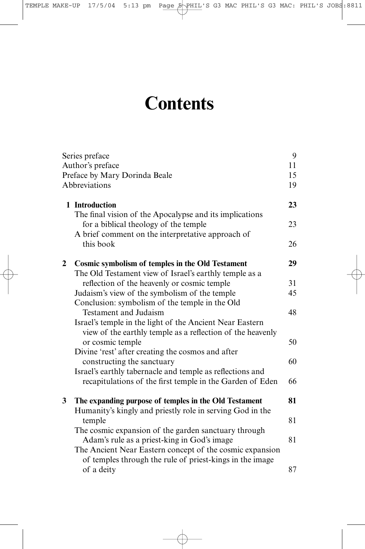TEMPLE MAKE-UP 17/5/04 5:13 pm Page 5 PHIL'S G3 MAC PHIL'S G3 MAC: PHIL'S JOBS:8811

# **Contents**

|                               | Series preface                                                                                   | 9  |  |  |  |
|-------------------------------|--------------------------------------------------------------------------------------------------|----|--|--|--|
|                               | Author's preface                                                                                 | 11 |  |  |  |
| Preface by Mary Dorinda Beale |                                                                                                  |    |  |  |  |
|                               | Abbreviations                                                                                    | 19 |  |  |  |
|                               | 1 Introduction                                                                                   | 23 |  |  |  |
|                               | The final vision of the Apocalypse and its implications<br>for a biblical theology of the temple | 23 |  |  |  |
|                               | A brief comment on the interpretative approach of<br>this book                                   | 26 |  |  |  |
| $\mathbf{2}$                  | Cosmic symbolism of temples in the Old Testament                                                 | 29 |  |  |  |
|                               | The Old Testament view of Israel's earthly temple as a                                           |    |  |  |  |
|                               | reflection of the heavenly or cosmic temple                                                      | 31 |  |  |  |
|                               | Judaism's view of the symbolism of the temple                                                    | 45 |  |  |  |
|                               | Conclusion: symbolism of the temple in the Old                                                   |    |  |  |  |
|                               | Testament and Judaism                                                                            | 48 |  |  |  |
|                               | Israel's temple in the light of the Ancient Near Eastern                                         |    |  |  |  |
|                               | view of the earthly temple as a reflection of the heavenly                                       |    |  |  |  |
|                               | or cosmic temple                                                                                 | 50 |  |  |  |
|                               | Divine 'rest' after creating the cosmos and after                                                |    |  |  |  |
|                               | constructing the sanctuary                                                                       | 60 |  |  |  |
|                               | Israel's earthly tabernacle and temple as reflections and                                        |    |  |  |  |
|                               | recapitulations of the first temple in the Garden of Eden                                        | 66 |  |  |  |
| 3                             | The expanding purpose of temples in the Old Testament                                            | 81 |  |  |  |
|                               | Humanity's kingly and priestly role in serving God in the                                        |    |  |  |  |
|                               | temple                                                                                           | 81 |  |  |  |
|                               | The cosmic expansion of the garden sanctuary through                                             |    |  |  |  |
|                               | Adam's rule as a priest-king in God's image                                                      | 81 |  |  |  |
|                               | The Ancient Near Eastern concept of the cosmic expansion                                         |    |  |  |  |
|                               | of temples through the rule of priest-kings in the image                                         |    |  |  |  |
|                               | of a deity                                                                                       | 87 |  |  |  |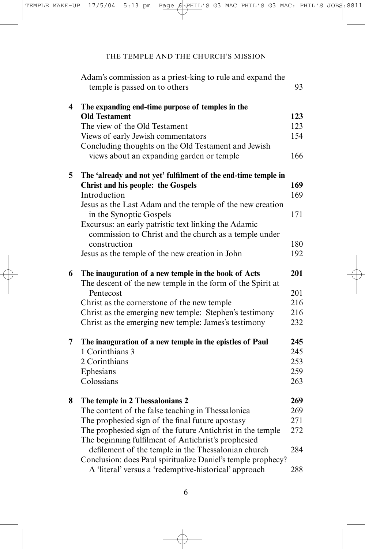|   | Adam's commission as a priest-king to rule and expand the<br>temple is passed on to others                          | 93  |
|---|---------------------------------------------------------------------------------------------------------------------|-----|
| 4 | The expanding end-time purpose of temples in the                                                                    |     |
|   | <b>Old Testament</b>                                                                                                | 123 |
|   | The view of the Old Testament                                                                                       | 123 |
|   | Views of early Jewish commentators                                                                                  | 154 |
|   | Concluding thoughts on the Old Testament and Jewish                                                                 |     |
|   | views about an expanding garden or temple                                                                           | 166 |
| 5 | The 'already and not yet' fulfilment of the end-time temple in                                                      |     |
|   | <b>Christ and his people: the Gospels</b>                                                                           | 169 |
|   | Introduction                                                                                                        | 169 |
|   | Jesus as the Last Adam and the temple of the new creation<br>in the Synoptic Gospels                                | 171 |
|   | Excursus: an early patristic text linking the Adamic                                                                |     |
|   | commission to Christ and the church as a temple under                                                               |     |
|   | construction                                                                                                        | 180 |
|   | Jesus as the temple of the new creation in John                                                                     | 192 |
| 6 | The inauguration of a new temple in the book of Acts                                                                | 201 |
|   | The descent of the new temple in the form of the Spirit at                                                          |     |
|   | Pentecost                                                                                                           | 201 |
|   | Christ as the cornerstone of the new temple                                                                         | 216 |
|   | Christ as the emerging new temple: Stephen's testimony                                                              | 216 |
|   | Christ as the emerging new temple: James's testimony                                                                | 232 |
| 7 | The inauguration of a new temple in the epistles of Paul                                                            | 245 |
|   | 1 Corinthians 3                                                                                                     | 245 |
|   | 2 Corinthians                                                                                                       | 253 |
|   | Ephesians                                                                                                           | 259 |
|   | Colossians                                                                                                          | 263 |
| 8 | The temple in 2 Thessalonians 2                                                                                     | 269 |
|   | The content of the false teaching in Thessalonica                                                                   | 269 |
|   | The prophesied sign of the final future apostasy                                                                    | 271 |
|   | The prophesied sign of the future Antichrist in the temple<br>The beginning fulfilment of Antichrist's prophesied   | 272 |
|   | defilement of the temple in the Thessalonian church<br>Conclusion: does Paul spiritualize Daniel's temple prophecy? | 284 |
|   | A 'literal' versus a 'redemptive-historical' approach                                                               | 288 |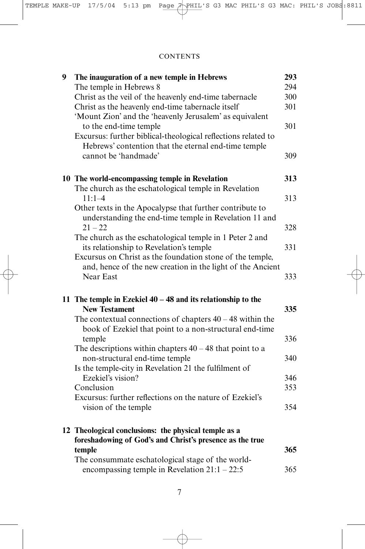### **CONTENTS**

| 9 | The inauguration of a new temple in Hebrews                                                  | 293 |
|---|----------------------------------------------------------------------------------------------|-----|
|   | The temple in Hebrews 8                                                                      | 294 |
|   | Christ as the veil of the heavenly end-time tabernacle                                       | 300 |
|   | Christ as the heavenly end-time tabernacle itself                                            | 301 |
|   | 'Mount Zion' and the 'heavenly Jerusalem' as equivalent                                      |     |
|   | to the end-time temple                                                                       | 301 |
|   | Excursus: further biblical-theological reflections related to                                |     |
|   | Hebrews' contention that the eternal end-time temple                                         |     |
|   | cannot be 'handmade'                                                                         | 309 |
|   | 10 The world-encompassing temple in Revelation                                               | 313 |
|   | The church as the eschatological temple in Revelation                                        |     |
|   | $11:1 - 4$                                                                                   | 313 |
|   | Other texts in the Apocalypse that further contribute to                                     |     |
|   | understanding the end-time temple in Revelation 11 and                                       |     |
|   | $21 - 22$                                                                                    | 328 |
|   | The church as the eschatological temple in 1 Peter 2 and                                     |     |
|   | its relationship to Revelation's temple                                                      | 331 |
|   | Excursus on Christ as the foundation stone of the temple,                                    |     |
|   | and, hence of the new creation in the light of the Ancient                                   |     |
|   | <b>Near East</b>                                                                             | 333 |
|   |                                                                                              |     |
|   | 11 The temple in Ezekiel $40 - 48$ and its relationship to the                               |     |
|   | <b>New Testament</b>                                                                         | 335 |
|   | The contextual connections of chapters $40 - 48$ within the                                  |     |
|   | book of Ezekiel that point to a non-structural end-time                                      |     |
|   | temple                                                                                       | 336 |
|   | The descriptions within chapters $40 - 48$ that point to a<br>non-structural end-time temple | 340 |
|   | Is the temple-city in Revelation 21 the fulfilment of                                        |     |
|   | Ezekiel's vision?                                                                            | 346 |
|   | Conclusion                                                                                   | 353 |
|   | Excursus: further reflections on the nature of Ezekiel's                                     |     |
|   | vision of the temple                                                                         | 354 |
|   |                                                                                              |     |
|   | 12 Theological conclusions: the physical temple as a                                         |     |
|   | foreshadowing of God's and Christ's presence as the true                                     |     |
|   | temple                                                                                       | 365 |
|   | The consummate eschatological stage of the world-                                            |     |
|   | encompassing temple in Revelation $21:1 - 22:5$                                              | 365 |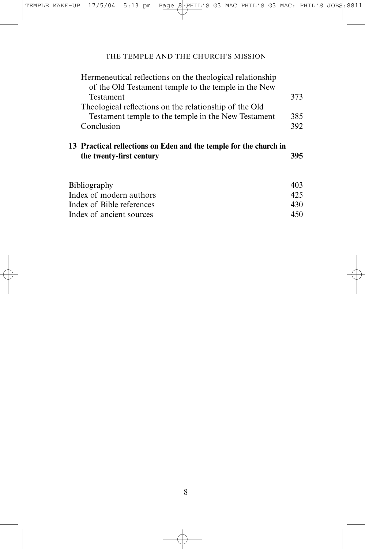| Hermeneutical reflections on the theological relationship         |     |  |  |  |
|-------------------------------------------------------------------|-----|--|--|--|
| of the Old Testament temple to the temple in the New              |     |  |  |  |
| Testament                                                         | 373 |  |  |  |
| Theological reflections on the relationship of the Old            |     |  |  |  |
| Testament temple to the temple in the New Testament               | 385 |  |  |  |
| Conclusion                                                        | 392 |  |  |  |
| 13 Practical reflections on Eden and the temple for the church in |     |  |  |  |
| the twenty-first century                                          | 395 |  |  |  |
| <b>Bibliography</b>                                               | 403 |  |  |  |
| Index of modern authors                                           | 425 |  |  |  |
|                                                                   | 430 |  |  |  |
| Index of Bible references                                         |     |  |  |  |
| 450<br>Index of ancient sources                                   |     |  |  |  |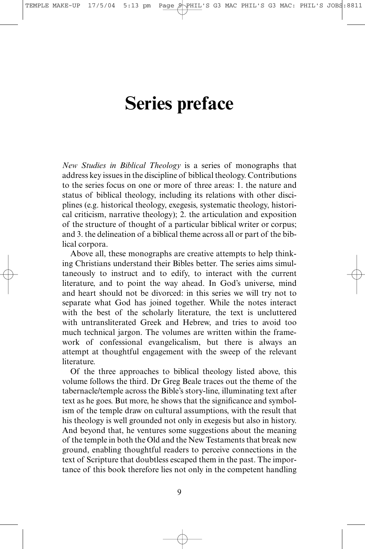# **Series preface**

*New Studies in Biblical Theology* is a series of monographs that address key issues in the discipline of biblical theology. Contributions to the series focus on one or more of three areas: 1. the nature and status of biblical theology, including its relations with other disciplines (e.g. historical theology, exegesis, systematic theology, historical criticism, narrative theology); 2. the articulation and exposition of the structure of thought of a particular biblical writer or corpus; and 3. the delineation of a biblical theme across all or part of the biblical corpora.

Above all, these monographs are creative attempts to help thinking Christians understand their Bibles better. The series aims simultaneously to instruct and to edify, to interact with the current literature, and to point the way ahead. In God's universe, mind and heart should not be divorced: in this series we will try not to separate what God has joined together. While the notes interact with the best of the scholarly literature, the text is uncluttered with untransliterated Greek and Hebrew, and tries to avoid too much technical jargon. The volumes are written within the framework of confessional evangelicalism, but there is always an attempt at thoughtful engagement with the sweep of the relevant literature.

Of the three approaches to biblical theology listed above, this volume follows the third. Dr Greg Beale traces out the theme of the tabernacle/temple across the Bible's story-line, illuminating text after text as he goes. But more, he shows that the significance and symbolism of the temple draw on cultural assumptions, with the result that his theology is well grounded not only in exegesis but also in history. And beyond that, he ventures some suggestions about the meaning of the temple in both the Old and the New Testaments that break new ground, enabling thoughtful readers to perceive connections in the text of Scripture that doubtless escaped them in the past. The importance of this book therefore lies not only in the competent handling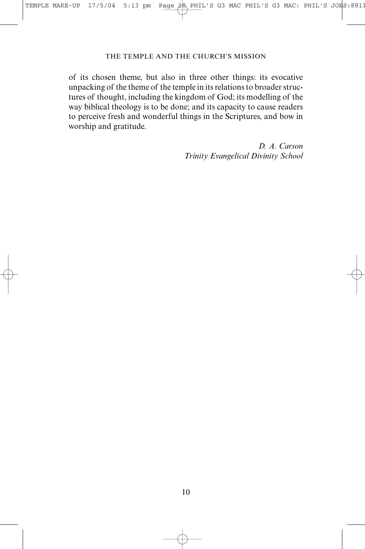of its chosen theme, but also in three other things: its evocative unpacking of the theme of the temple in its relations to broader structures of thought, including the kingdom of God; its modelling of the way biblical theology is to be done; and its capacity to cause readers to perceive fresh and wonderful things in the Scriptures, and bow in worship and gratitude.

> *D. A. Carson Trinity Evangelical Divinity School*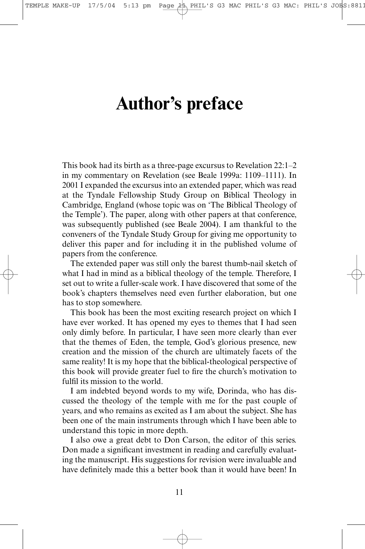# **Author's preface**

This book had its birth as a three-page excursus to Revelation 22:1–2 in my commentary on Revelation (see Beale 1999a: 1109–1111). In 2001 I expanded the excursus into an extended paper, which was read at the Tyndale Fellowship Study Group on Biblical Theology in Cambridge, England (whose topic was on 'The Biblical Theology of the Temple'). The paper, along with other papers at that conference, was subsequently published (see Beale 2004). I am thankful to the conveners of the Tyndale Study Group for giving me opportunity to deliver this paper and for including it in the published volume of papers from the conference.

The extended paper was still only the barest thumb-nail sketch of what I had in mind as a biblical theology of the temple. Therefore, I set out to write a fuller-scale work. I have discovered that some of the book's chapters themselves need even further elaboration, but one has to stop somewhere.

This book has been the most exciting research project on which I have ever worked. It has opened my eyes to themes that I had seen only dimly before. In particular, I have seen more clearly than ever that the themes of Eden, the temple, God's glorious presence, new creation and the mission of the church are ultimately facets of the same reality! It is my hope that the biblical-theological perspective of this book will provide greater fuel to fire the church's motivation to fulfil its mission to the world.

I am indebted beyond words to my wife, Dorinda, who has discussed the theology of the temple with me for the past couple of years, and who remains as excited as I am about the subject. She has been one of the main instruments through which I have been able to understand this topic in more depth.

I also owe a great debt to Don Carson, the editor of this series. Don made a significant investment in reading and carefully evaluating the manuscript. His suggestions for revision were invaluable and have definitely made this a better book than it would have been! In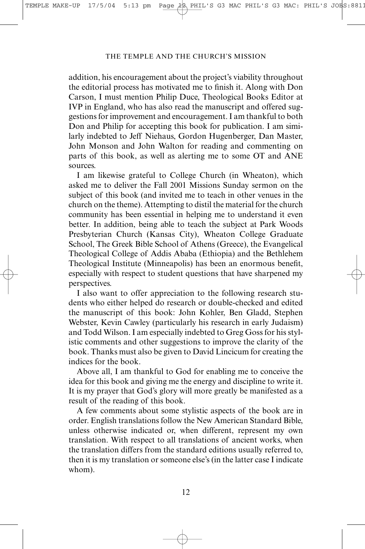addition, his encouragement about the project's viability throughout the editorial process has motivated me to finish it. Along with Don Carson, I must mention Philip Duce, Theological Books Editor at IVP in England, who has also read the manuscript and offered suggestions for improvement and encouragement. I am thankful to both Don and Philip for accepting this book for publication. I am similarly indebted to Jeff Niehaus, Gordon Hugenberger, Dan Master, John Monson and John Walton for reading and commenting on parts of this book, as well as alerting me to some OT and ANE sources.

I am likewise grateful to College Church (in Wheaton), which asked me to deliver the Fall 2001 Missions Sunday sermon on the subject of this book (and invited me to teach in other venues in the church on the theme). Attempting to distil the material for the church community has been essential in helping me to understand it even better. In addition, being able to teach the subject at Park Woods Presbyterian Church (Kansas City), Wheaton College Graduate School, The Greek Bible School of Athens (Greece), the Evangelical Theological College of Addis Ababa (Ethiopia) and the Bethlehem Theological Institute (Minneapolis) has been an enormous benefit, especially with respect to student questions that have sharpened my perspectives.

I also want to offer appreciation to the following research students who either helped do research or double-checked and edited the manuscript of this book: John Kohler, Ben Gladd, Stephen Webster, Kevin Cawley (particularly his research in early Judaism) and Todd Wilson. I am especially indebted to Greg Goss for his stylistic comments and other suggestions to improve the clarity of the book. Thanks must also be given to David Lincicum for creating the indices for the book.

Above all, I am thankful to God for enabling me to conceive the idea for this book and giving me the energy and discipline to write it. It is my prayer that God's glory will more greatly be manifested as a result of the reading of this book.

A few comments about some stylistic aspects of the book are in order. English translations follow the New American Standard Bible, unless otherwise indicated or, when different, represent my own translation. With respect to all translations of ancient works, when the translation differs from the standard editions usually referred to, then it is my translation or someone else's (in the latter case I indicate whom).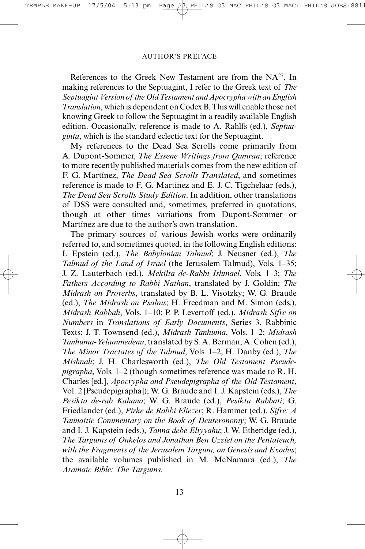### AUTHOR'S PREFACE

References to the Greek New Testament are from the NA<sup>27</sup>. In making references to the Septuagint, I refer to the Greek text of *The Septuagint Version of the Old Testament and Apocrypha with an English Translation*, which is dependent on Codex B. This will enable those not knowing Greek to follow the Septuagint in a readily available English edition. Occasionally, reference is made to A. Rahlfs (ed.), *Septuaginta*, which is the standard eclectic text for the Septuagint.

My references to the Dead Sea Scrolls come primarily from A. Dupont-Sommer, *The Essene Writings from Qumran*; reference to more recently published materials comes from the new edition of F. G. Martínez, *The Dead Sea Scrolls Translated*, and sometimes reference is made to F. G. Martínez and E. J. C. Tigchelaar (eds.), *The Dead Sea Scrolls Study Edition*. In addition, other translations of DSS were consulted and, sometimes, preferred in quotations, though at other times variations from Dupont-Sommer or Martínez are due to the author's own translation.

The primary sources of various Jewish works were ordinarily referred to, and sometimes quoted, in the following English editions: I. Epstein (ed.), *The Babylonian Talmud*; J. Neusner (ed.), *The Talmud of the Land of Israel* (the Jerusalem Talmud), Vols. 1–35; J. Z. Lauterbach (ed.), *Mekilta de-Rabbi Ishmael*, Vols. 1–3; *The Fathers According to Rabbi Nathan*, translated by J. Goldin; *The Midrash on Proverbs*, translated by B. L. Visotzky; W. G. Braude (ed.), *The Midrash on Psalms*; H. Freedman and M. Simon (eds.), *Midrash Rabbah*, Vols. 1–10; P. P. Levertoff (ed.), *Midrash Sifre on Numbers* in *Translations of Early Documents*, Series 3, Rabbinic Texts; J. T. Townsend (ed.), *Midrash Tanhuma*, Vols. 1–2; *Midrash Tanhuma-Yelammedenu*, translated by S. A. Berman; A. Cohen (ed.), *The Minor Tractates of the Talmud*, Vols. 1–2; H. Danby (ed.), *The Mishnah*; J. H. Charlesworth (ed.), *The Old Testament Pseudepigrapha*, Vols. 1–2 (though sometimes reference was made to R. H. Charles [ed.], *Apocrypha and Pseudepigrapha of the Old Testament*, Vol. 2 [Pseudepigrapha]); W. G. Braude and I. J. Kapstein (eds.), *The Pesikta de-rab Kahana*; W. G. Braude (ed.), *Pesikta Rabbati*; G. Friedlander (ed.), *Pirke de Rabbi Eliezer*; R. Hammer (ed.), *Sifre: A Tannaitic Commentary on the Book of Deuteronomy*; W. G. Braude and I. J. Kapstein (eds.), *Tanna debe Eliyyahu*; J. W. Etheridge (ed.), *The Targums of Onkelos and Jonathan Ben Uzziel on the Pentateuch, with the Fragments of the Jerusalem Targum, on Genesis and Exodus*; the available volumes published in M. McNamara (ed.), *The Aramaic Bible: The Targums*.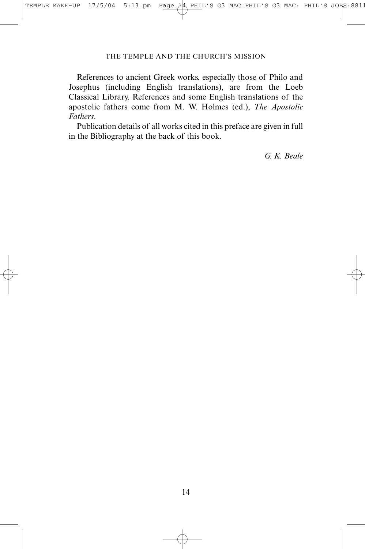References to ancient Greek works, especially those of Philo and Josephus (including English translations), are from the Loeb Classical Library. References and some English translations of the apostolic fathers come from M. W. Holmes (ed.), *The Apostolic Fathers*.

Publication details of all works cited in this preface are given in full in the Bibliography at the back of this book.

*G. K. Beale*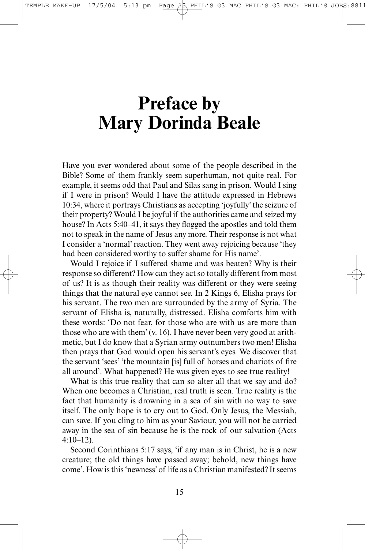# **Preface by Mary Dorinda Beale**

Have you ever wondered about some of the people described in the Bible? Some of them frankly seem superhuman, not quite real. For example, it seems odd that Paul and Silas sang in prison. Would I sing if I were in prison? Would I have the attitude expressed in Hebrews 10:34, where it portrays Christians as accepting 'joyfully' the seizure of their property? Would I be joyful if the authorities came and seized my house? In Acts 5:40–41, it says they flogged the apostles and told them not to speak in the name of Jesus any more. Their response is not what I consider a 'normal' reaction. They went away rejoicing because 'they had been considered worthy to suffer shame for His name'.

Would I rejoice if I suffered shame and was beaten? Why is their response so different? How can they act so totally different from most of us? It is as though their reality was different or they were seeing things that the natural eye cannot see. In 2 Kings 6, Elisha prays for his servant. The two men are surrounded by the army of Syria. The servant of Elisha is, naturally, distressed. Elisha comforts him with these words: 'Do not fear, for those who are with us are more than those who are with them' (v. 16). I have never been very good at arithmetic, but I do know that a Syrian army outnumbers two men! Elisha then prays that God would open his servant's eyes. We discover that the servant 'sees' 'the mountain [is] full of horses and chariots of fire all around'. What happened? He was given eyes to see true reality!

What is this true reality that can so alter all that we say and do? When one becomes a Christian, real truth is seen. True reality is the fact that humanity is drowning in a sea of sin with no way to save itself. The only hope is to cry out to God. Only Jesus, the Messiah, can save. If you cling to him as your Saviour, you will not be carried away in the sea of sin because he is the rock of our salvation (Acts 4:10–12).

Second Corinthians 5:17 says, 'if any man is in Christ, he is a new creature; the old things have passed away; behold, new things have come'. How is this 'newness' of life as a Christian manifested? It seems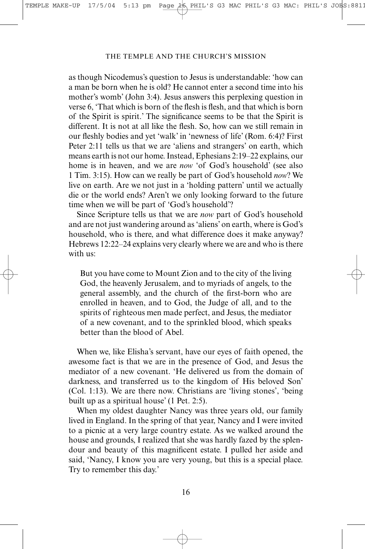as though Nicodemus's question to Jesus is understandable: 'how can a man be born when he is old? He cannot enter a second time into his mother's womb' (John 3:4). Jesus answers this perplexing question in verse 6, 'That which is born of the flesh is flesh, and that which is born of the Spirit is spirit.' The significance seems to be that the Spirit is different. It is not at all like the flesh. So, how can we still remain in our fleshly bodies and yet 'walk' in 'newness of life' (Rom. 6:4)? First Peter 2:11 tells us that we are 'aliens and strangers' on earth, which means earth is not our home. Instead, Ephesians 2:19–22 explains, our home is in heaven, and we are *now* 'of God's household' (see also 1 Tim. 3:15). How can we really be part of God's household *now*? We live on earth. Are we not just in a 'holding pattern' until we actually die or the world ends? Aren't we only looking forward to the future time when we will be part of 'God's household'?

Since Scripture tells us that we are *now* part of God's household and are not just wandering around as 'aliens' on earth, where is God's household, who is there, and what difference does it make anyway? Hebrews 12:22–24 explains very clearly where we are and who is there with us:

But you have come to Mount Zion and to the city of the living God, the heavenly Jerusalem, and to myriads of angels, to the general assembly, and the church of the first-born who are enrolled in heaven, and to God, the Judge of all, and to the spirits of righteous men made perfect, and Jesus, the mediator of a new covenant, and to the sprinkled blood, which speaks better than the blood of Abel.

When we, like Elisha's servant, have our eyes of faith opened, the awesome fact is that we are in the presence of God, and Jesus the mediator of a new covenant. 'He delivered us from the domain of darkness, and transferred us to the kingdom of His beloved Son' (Col. 1:13). We are there now. Christians are 'living stones', 'being built up as a spiritual house' (1 Pet. 2:5).

When my oldest daughter Nancy was three years old, our family lived in England. In the spring of that year, Nancy and I were invited to a picnic at a very large country estate. As we walked around the house and grounds, I realized that she was hardly fazed by the splendour and beauty of this magnificent estate. I pulled her aside and said, 'Nancy, I know you are very young, but this is a special place. Try to remember this day.'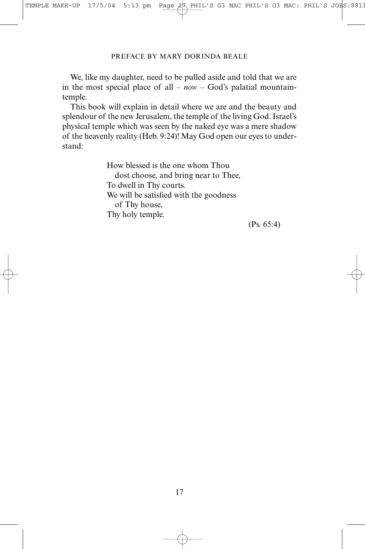### PREFACE BY MARY DORINDA BEALE

We, like my daughter, need to be pulled aside and told that we are in the most special place of all – *now* – God's palatial mountaintemple.

This book will explain in detail where we are and the beauty and splendour of the new Jerusalem, the temple of the living God. Israel's physical temple which was seen by the naked eye was a mere shadow of the heavenly reality (Heb. 9:24)! May God open our eyes to understand:

> How blessed is the one whom Thou dost choose, and bring near to Thee, To dwell in Thy courts. We will be satisfied with the goodness of Thy house, Thy holy temple.

> > (Ps. 65:4)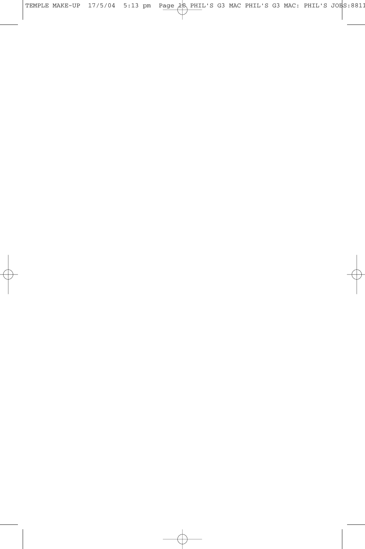TEMPLE MAKE-UP 17/5/04 5:13 pm Page 18 PHIL'S G3 MAC PHIL'S G3 MAC: PHIL'S JOBS:8811

 $\oplus$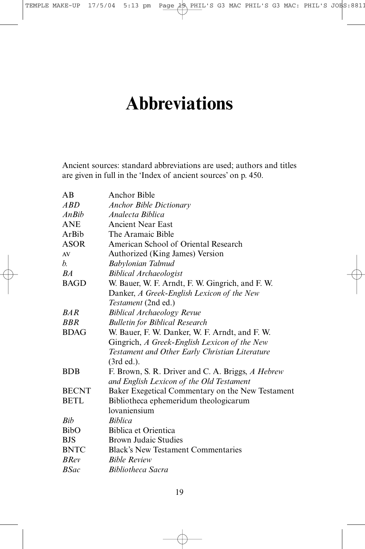TEMPLE MAKE-UP 17/5/04 5:13 pm Page 19 PHIL'S G3 MAC PHIL'S G3 MAC: PHIL'S JOBS:8811

# **Abbreviations**

Ancient sources: standard abbreviations are used; authors and titles are given in full in the 'Index of ancient sources' on p. 450.

| AB           | Anchor Bible                                      |
|--------------|---------------------------------------------------|
| ABD          | <b>Anchor Bible Dictionary</b>                    |
| $AnB$ ib     | Analecta Biblica                                  |
| <b>ANE</b>   | <b>Ancient Near East</b>                          |
| ArBib        | The Aramaic Bible                                 |
| <b>ASOR</b>  | American School of Oriental Research              |
| AV           | Authorized (King James) Version                   |
| b.           | <b>Babylonian Talmud</b>                          |
| BA           | <b>Biblical Archaeologist</b>                     |
| <b>BAGD</b>  | W. Bauer, W. F. Arndt, F. W. Gingrich, and F. W.  |
|              | Danker, A Greek-English Lexicon of the New        |
|              | Testament (2nd ed.)                               |
| <b>BAR</b>   | <b>Biblical Archaeology Revue</b>                 |
| <b>BBR</b>   | <b>Bulletin for Biblical Research</b>             |
| <b>BDAG</b>  | W. Bauer, F. W. Danker, W. F. Arndt, and F. W.    |
|              | Gingrich, A Greek-English Lexicon of the New      |
|              | Testament and Other Early Christian Literature    |
|              | (3rd ed.).                                        |
| <b>BDB</b>   | F. Brown, S. R. Driver and C. A. Briggs, A Hebrew |
|              | and English Lexicon of the Old Testament          |
| <b>BECNT</b> | Baker Exegetical Commentary on the New Testament  |
| <b>BETL</b>  | Bibliotheca ephemeridum theologicarum             |
|              | lovaniensium                                      |
| <b>Bib</b>   | <b>Biblica</b>                                    |
| <b>BibO</b>  | Biblica et Orientica                              |
| <b>BJS</b>   | Brown Judaic Studies                              |
| <b>BNTC</b>  | <b>Black's New Testament Commentaries</b>         |
| <b>BRev</b>  | <b>Bible Review</b>                               |
| <b>BSac</b>  | <b>Bibliotheca Sacra</b>                          |
|              |                                                   |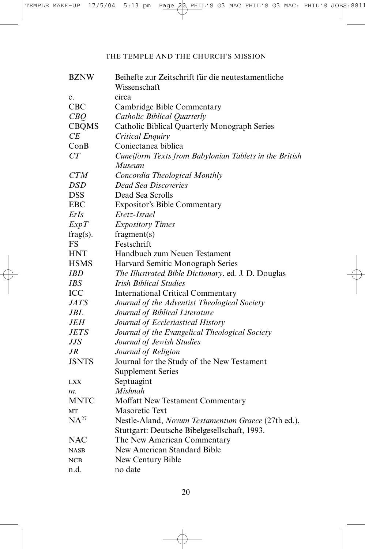| <b>BZNW</b>      | Beihefte zur Zeitschrift für die neutestamentliche     |
|------------------|--------------------------------------------------------|
|                  | Wissenschaft                                           |
| c.               | circa                                                  |
| <b>CBC</b>       | Cambridge Bible Commentary                             |
| CBQ              | Catholic Biblical Quarterly                            |
| <b>CBQMS</b>     | Catholic Biblical Quarterly Monograph Series           |
| СE               | Critical Enquiry                                       |
| ConB             | Coniectanea biblica                                    |
| CT               | Cuneiform Texts from Babylonian Tablets in the British |
|                  | Museum                                                 |
| <i>CTM</i>       | Concordia Theological Monthly                          |
| DSD              | <b>Dead Sea Discoveries</b>                            |
| <b>DSS</b>       | Dead Sea Scrolls                                       |
| <b>EBC</b>       | Expositor's Bible Commentary                           |
| ErIs             | Eretz-Israel                                           |
| ExpT             | <b>Expository Times</b>                                |
| $frag(s)$ .      | fragment(s)                                            |
| FS               | Festschrift                                            |
| <b>HNT</b>       | Handbuch zum Neuen Testament                           |
| <b>HSMS</b>      | Harvard Semitic Monograph Series                       |
| IBD              | The Illustrated Bible Dictionary, ed. J. D. Douglas    |
| IBS              | <b>Irish Biblical Studies</b>                          |
| ICC              | <b>International Critical Commentary</b>               |
| <b>JATS</b>      | Journal of the Adventist Theological Society           |
| JBL              | Journal of Biblical Literature                         |
| <i>JEH</i>       | Journal of Ecclesiastical History                      |
| <i>JETS</i>      | Journal of the Evangelical Theological Society         |
| JJS              | Journal of Jewish Studies                              |
| $J_{R}$          | Journal of Religion                                    |
| <b>JSNTS</b>     | Journal for the Study of the New Testament             |
|                  | <b>Supplement Series</b>                               |
| <b>LXX</b>       | Septuagint                                             |
| m.               | Mishnah                                                |
| <b>MNTC</b>      | Moffatt New Testament Commentary                       |
| MT               | <b>Masoretic Text</b>                                  |
| NA <sup>27</sup> | Nestle-Aland, Novum Testamentum Graece (27th ed.),     |
|                  | Stuttgart: Deutsche Bibelgesellschaft, 1993.           |
| NAC              | The New American Commentary                            |
| <b>NASB</b>      | New American Standard Bible                            |
| <b>NCB</b>       | New Century Bible                                      |
| n.d.             | no date                                                |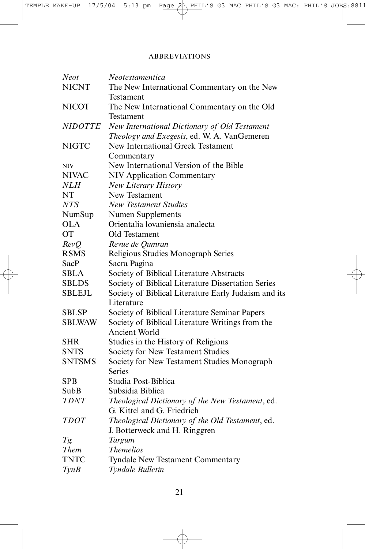TEMPLE MAKE-UP 17/5/04 5:13 pm Page 24 PHIL'S G3 MAC PHIL'S G3 MAC: PHIL'S JOBS:8811

### ABBREVIATIONS

| <i>Neotestamentica</i>                               |
|------------------------------------------------------|
| The New International Commentary on the New          |
| Testament                                            |
| The New International Commentary on the Old          |
| Testament                                            |
| New International Dictionary of Old Testament        |
| Theology and Exegesis, ed. W. A. VanGemeren          |
| <b>New International Greek Testament</b>             |
| Commentary                                           |
| New International Version of the Bible               |
| <b>NIV Application Commentary</b>                    |
| New Literary History                                 |
| New Testament                                        |
| <b>New Testament Studies</b>                         |
| Numen Supplements                                    |
| Orientalia lovaniensia analecta                      |
| Old Testament                                        |
| Revue de Qumran                                      |
| Religious Studies Monograph Series                   |
| Sacra Pagina                                         |
| Society of Biblical Literature Abstracts             |
| Society of Biblical Literature Dissertation Series   |
| Society of Biblical Literature Early Judaism and its |
| Literature                                           |
| Society of Biblical Literature Seminar Papers        |
| Society of Biblical Literature Writings from the     |
| Ancient World                                        |
| Studies in the History of Religions                  |
| Society for New Testament Studies                    |
| Society for New Testament Studies Monograph          |
| Series                                               |
| Studia Post-Biblica                                  |
| Subsidia Biblica                                     |
| Theological Dictionary of the New Testament, ed.     |
| G. Kittel and G. Friedrich                           |
| Theological Dictionary of the Old Testament, ed.     |
| J. Botterweck and H. Ringgren                        |
| Targum                                               |
| <b>Themelios</b>                                     |
| <b>Tyndale New Testament Commentary</b>              |
| Tyndale Bulletin                                     |
|                                                      |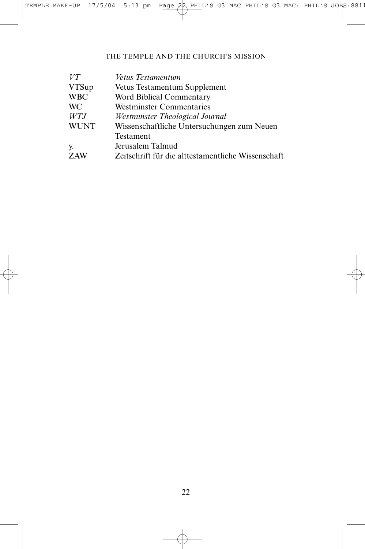| VT           | Vetus Testamentum                                  |
|--------------|----------------------------------------------------|
| <b>VTSup</b> | Vetus Testamentum Supplement                       |
| <b>WBC</b>   | Word Biblical Commentary                           |
| <b>WC</b>    | <b>Westminster Commentaries</b>                    |
| WTJ          | Westminster Theological Journal                    |
| <b>WUNT</b>  | Wissenschaftliche Untersuchungen zum Neuen         |
|              | Testament                                          |
| у.           | Jerusalem Talmud                                   |
| <b>ZAW</b>   | Zeitschrift für die alttestamentliche Wissenschaft |
|              |                                                    |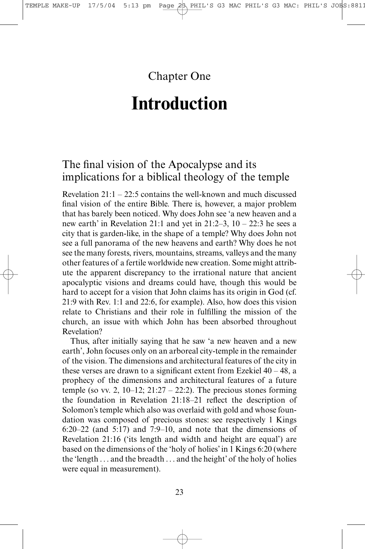# Chapter One

# **Introduction**

## The final vision of the Apocalypse and its implications for a biblical theology of the temple

Revelation 21:1 – 22:5 contains the well-known and much discussed final vision of the entire Bible. There is, however, a major problem that has barely been noticed. Why does John see 'a new heaven and a new earth' in Revelation 21:1 and yet in 21:2–3, 10 – 22:3 he sees a city that is garden-like, in the shape of a temple? Why does John not see a full panorama of the new heavens and earth? Why does he not see the many forests, rivers, mountains, streams, valleys and the many other features of a fertile worldwide new creation. Some might attribute the apparent discrepancy to the irrational nature that ancient apocalyptic visions and dreams could have, though this would be hard to accept for a vision that John claims has its origin in God (cf. 21:9 with Rev. 1:1 and 22:6, for example). Also, how does this vision relate to Christians and their role in fulfilling the mission of the church, an issue with which John has been absorbed throughout Revelation?

Thus, after initially saying that he saw 'a new heaven and a new earth', John focuses only on an arboreal city-temple in the remainder of the vision. The dimensions and architectural features of the city in these verses are drawn to a significant extent from Ezekiel 40 – 48, a prophecy of the dimensions and architectural features of a future temple (so vv. 2,  $10-12$ ;  $21:27-22:2$ ). The precious stones forming the foundation in Revelation 21:18–21 reflect the description of Solomon's temple which also was overlaid with gold and whose foundation was composed of precious stones: see respectively 1 Kings 6:20–22 (and 5:17) and 7:9–10, and note that the dimensions of Revelation 21:16 ('its length and width and height are equal') are based on the dimensions of the 'holy of holies' in 1 Kings 6:20 (where the 'length . . . and the breadth . . . and the height' of the holy of holies were equal in measurement).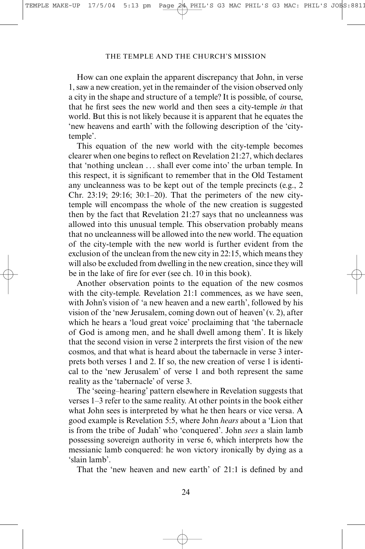How can one explain the apparent discrepancy that John, in verse 1, saw a new creation, yet in the remainder of the vision observed only a city in the shape and structure of a temple? It is possible, of course, that he first sees the new world and then sees a city-temple *in* that world. But this is not likely because it is apparent that he equates the 'new heavens and earth' with the following description of the 'citytemple'.

This equation of the new world with the city-temple becomes clearer when one begins to reflect on Revelation 21:27, which declares that 'nothing unclean . . . shall ever come into' the urban temple. In this respect, it is significant to remember that in the Old Testament any uncleanness was to be kept out of the temple precincts (e.g., 2 Chr. 23:19; 29:16; 30:1–20). That the perimeters of the new citytemple will encompass the whole of the new creation is suggested then by the fact that Revelation 21:27 says that no uncleanness was allowed into this unusual temple. This observation probably means that no uncleanness will be allowed into the new world. The equation of the city-temple with the new world is further evident from the exclusion of the unclean from the new city in 22:15, which means they will also be excluded from dwelling in the new creation, since they will be in the lake of fire for ever (see ch. 10 in this book).

Another observation points to the equation of the new cosmos with the city-temple. Revelation 21:1 commences, as we have seen, with John's vision of 'a new heaven and a new earth', followed by his vision of the 'new Jerusalem, coming down out of heaven' (v. 2), after which he hears a 'loud great voice' proclaiming that 'the tabernacle of God is among men, and he shall dwell among them'. It is likely that the second vision in verse 2 interprets the first vision of the new cosmos, and that what is heard about the tabernacle in verse 3 interprets both verses 1 and 2. If so, the new creation of verse 1 is identical to the 'new Jerusalem' of verse 1 and both represent the same reality as the 'tabernacle' of verse 3.

The 'seeing–hearing' pattern elsewhere in Revelation suggests that verses 1–3 refer to the same reality. At other points in the book either what John sees is interpreted by what he then hears or vice versa. A good example is Revelation 5:5, where John *hears* about a 'Lion that is from the tribe of Judah' who 'conquered'. John *sees* a slain lamb possessing sovereign authority in verse 6, which interprets how the messianic lamb conquered: he won victory ironically by dying as a 'slain lamb'.

That the 'new heaven and new earth' of 21:1 is defined by and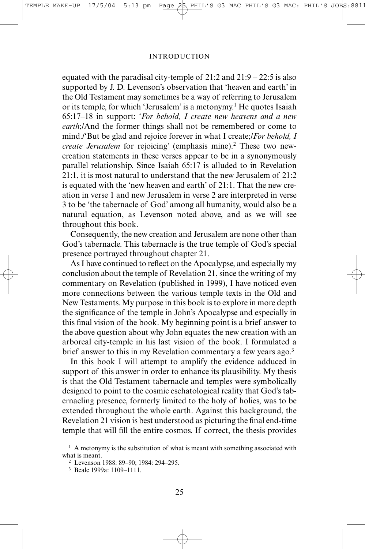### INTRODUCTION

equated with the paradisal city-temple of  $21:2$  and  $21:9 - 22:5$  is also supported by J. D. Levenson's observation that 'heaven and earth' in the Old Testament may sometimes be a way of referring to Jerusalem or its temple, for which 'Jerusalem' is a metonymy.<sup>1</sup> He quotes Isaiah 65:17–18 in support: '*For behold, I create new heavens and a new earth*;/And the former things shall not be remembered or come to mind./'But be glad and rejoice forever in what I create;/*For behold, I create Jerusalem* for rejoicing' (emphasis mine).<sup>2</sup> These two newcreation statements in these verses appear to be in a synonymously parallel relationship. Since Isaiah 65:17 is alluded to in Revelation 21:1, it is most natural to understand that the new Jerusalem of 21:2 is equated with the 'new heaven and earth' of 21:1. That the new creation in verse 1 and new Jerusalem in verse 2 are interpreted in verse 3 to be 'the tabernacle of God' among all humanity, would also be a natural equation, as Levenson noted above, and as we will see throughout this book.

Consequently, the new creation and Jerusalem are none other than God's tabernacle. This tabernacle is the true temple of God's special presence portrayed throughout chapter 21.

As I have continued to reflect on the Apocalypse, and especially my conclusion about the temple of Revelation 21, since the writing of my commentary on Revelation (published in 1999), I have noticed even more connections between the various temple texts in the Old and New Testaments. My purpose in this book is to explore in more depth the significance of the temple in John's Apocalypse and especially in this final vision of the book. My beginning point is a brief answer to the above question about why John equates the new creation with an arboreal city-temple in his last vision of the book. I formulated a brief answer to this in my Revelation commentary a few years ago.3

In this book I will attempt to amplify the evidence adduced in support of this answer in order to enhance its plausibility. My thesis is that the Old Testament tabernacle and temples were symbolically designed to point to the cosmic eschatological reality that God's tabernacling presence, formerly limited to the holy of holies, was to be extended throughout the whole earth. Against this background, the Revelation 21 vision is best understood as picturing the final end-time temple that will fill the entire cosmos. If correct, the thesis provides

 $<sup>1</sup>$  A metonymy is the substitution of what is meant with something associated with</sup> what is meant.

<sup>2</sup> Levenson 1988: 89–90; 1984: 294–295.

<sup>3</sup> Beale 1999a: 1109–1111.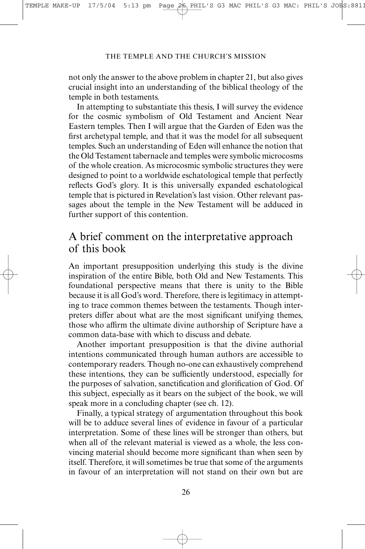not only the answer to the above problem in chapter 21, but also gives crucial insight into an understanding of the biblical theology of the temple in both testaments.

In attempting to substantiate this thesis, I will survey the evidence for the cosmic symbolism of Old Testament and Ancient Near Eastern temples. Then I will argue that the Garden of Eden was the first archetypal temple, and that it was the model for all subsequent temples. Such an understanding of Eden will enhance the notion that the Old Testament tabernacle and temples were symbolic microcosms of the whole creation. As microcosmic symbolic structures they were designed to point to a worldwide eschatological temple that perfectly reflects God's glory. It is this universally expanded eschatological temple that is pictured in Revelation's last vision. Other relevant passages about the temple in the New Testament will be adduced in further support of this contention.

## A brief comment on the interpretative approach of this book

An important presupposition underlying this study is the divine inspiration of the entire Bible, both Old and New Testaments. This foundational perspective means that there is unity to the Bible because it is all God's word. Therefore, there is legitimacy in attempting to trace common themes between the testaments. Though interpreters differ about what are the most significant unifying themes, those who affirm the ultimate divine authorship of Scripture have a common data-base with which to discuss and debate.

Another important presupposition is that the divine authorial intentions communicated through human authors are accessible to contemporary readers. Though no-one can exhaustively comprehend these intentions, they can be sufficiently understood, especially for the purposes of salvation, sanctification and glorification of God. Of this subject, especially as it bears on the subject of the book, we will speak more in a concluding chapter (see ch. 12).

Finally, a typical strategy of argumentation throughout this book will be to adduce several lines of evidence in favour of a particular interpretation. Some of these lines will be stronger than others, but when all of the relevant material is viewed as a whole, the less convincing material should become more significant than when seen by itself. Therefore, it will sometimes be true that some of the arguments in favour of an interpretation will not stand on their own but are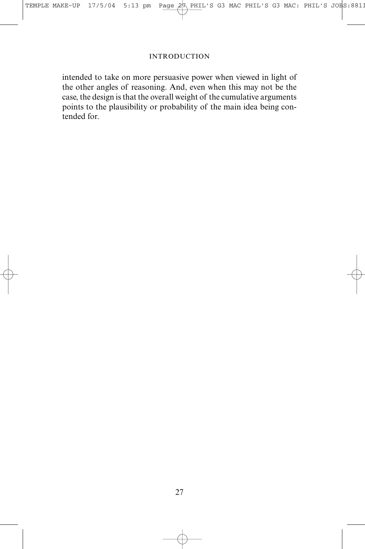### INTRODUCTION

intended to take on more persuasive power when viewed in light of the other angles of reasoning. And, even when this may not be the case, the design is that the overall weight of the cumulative arguments points to the plausibility or probability of the main idea being contended for.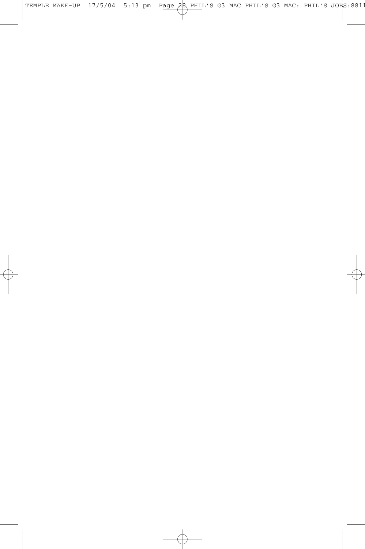TEMPLE MAKE-UP 17/5/04 5:13 pm Page 28 PHIL'S G3 MAC PHIL'S G3 MAC: PHIL'S JOBS:8811

 $\oplus$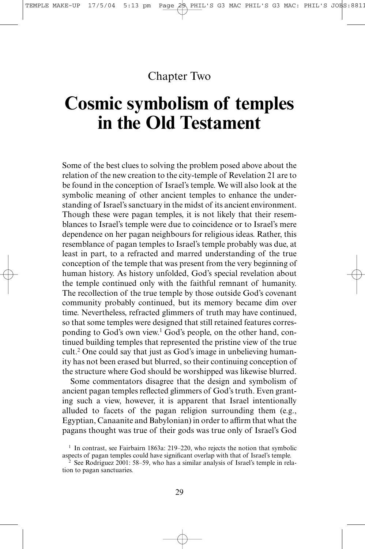# Chapter Two

# **Cosmic symbolism of temples in the Old Testament**

Some of the best clues to solving the problem posed above about the relation of the new creation to the city-temple of Revelation 21 are to be found in the conception of Israel's temple. We will also look at the symbolic meaning of other ancient temples to enhance the understanding of Israel's sanctuary in the midst of its ancient environment. Though these were pagan temples, it is not likely that their resemblances to Israel's temple were due to coincidence or to Israel's mere dependence on her pagan neighbours for religious ideas. Rather, this resemblance of pagan temples to Israel's temple probably was due, at least in part, to a refracted and marred understanding of the true conception of the temple that was present from the very beginning of human history. As history unfolded, God's special revelation about the temple continued only with the faithful remnant of humanity. The recollection of the true temple by those outside God's covenant community probably continued, but its memory became dim over time. Nevertheless, refracted glimmers of truth may have continued, so that some temples were designed that still retained features corresponding to God's own view.1 God's people, on the other hand, continued building temples that represented the pristine view of the true cult.2 One could say that just as God's image in unbelieving humanity has not been erased but blurred, so their continuing conception of the structure where God should be worshipped was likewise blurred.

Some commentators disagree that the design and symbolism of ancient pagan temples reflected glimmers of God's truth. Even granting such a view, however, it is apparent that Israel intentionally alluded to facets of the pagan religion surrounding them (e.g., Egyptian, Canaanite and Babylonian) in order to affirm that what the pagans thought was true of their gods was true only of Israel's God

<sup>&</sup>lt;sup>1</sup> In contrast, see Fairbairn 1863a: 219–220, who rejects the notion that symbolic aspects of pagan temples could have significant overlap with that of Israel's temple.

<sup>2</sup> See Rodriguez 2001: 58–59, who has a similar analysis of Israel's temple in relation to pagan sanctuaries.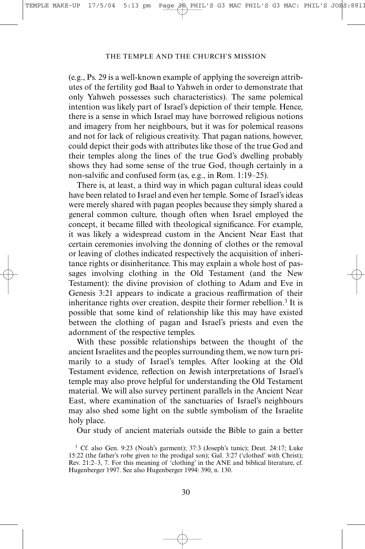(e.g., Ps. 29 is a well-known example of applying the sovereign attributes of the fertility god Baal to Yahweh in order to demonstrate that only Yahweh possesses such characteristics). The same polemical intention was likely part of Israel's depiction of their temple. Hence, there is a sense in which Israel may have borrowed religious notions and imagery from her neighbours, but it was for polemical reasons and not for lack of religious creativity. That pagan nations, however, could depict their gods with attributes like those of the true God and their temples along the lines of the true God's dwelling probably shows they had some sense of the true God, though certainly in a non-salvific and confused form (as, e.g., in Rom. 1:19–25).

There is, at least, a third way in which pagan cultural ideas could have been related to Israel and even her temple. Some of Israel's ideas were merely shared with pagan peoples because they simply shared a general common culture, though often when Israel employed the concept, it became filled with theological significance. For example, it was likely a widespread custom in the Ancient Near East that certain ceremonies involving the donning of clothes or the removal or leaving of clothes indicated respectively the acquisition of inheritance rights or disinheritance. This may explain a whole host of passages involving clothing in the Old Testament (and the New Testament): the divine provision of clothing to Adam and Eve in Genesis 3:21 appears to indicate a gracious reaffirmation of their inheritance rights over creation, despite their former rebellion.3 It is possible that some kind of relationship like this may have existed between the clothing of pagan and Israel's priests and even the adornment of the respective temples.

With these possible relationships between the thought of the ancient Israelites and the peoples surrounding them, we now turn primarily to a study of Israel's temples. After looking at the Old Testament evidence, reflection on Jewish interpretations of Israel's temple may also prove helpful for understanding the Old Testament material. We will also survey pertinent parallels in the Ancient Near East, where examination of the sanctuaries of Israel's neighbours may also shed some light on the subtle symbolism of the Israelite holy place.

Our study of ancient materials outside the Bible to gain a better

<sup>3</sup> Cf. also Gen. 9:23 (Noah's garment); 37:3 (Joseph's tunic); Deut. 24:17; Luke 15:22 (the father's robe given to the prodigal son); Gal. 3:27 ('clothed' with Christ); Rev. 21:2–3, 7. For this meaning of 'clothing' in the ANE and biblical literature, cf. Hugenberger 1997. See also Hugenberger 1994: 390, n. 130.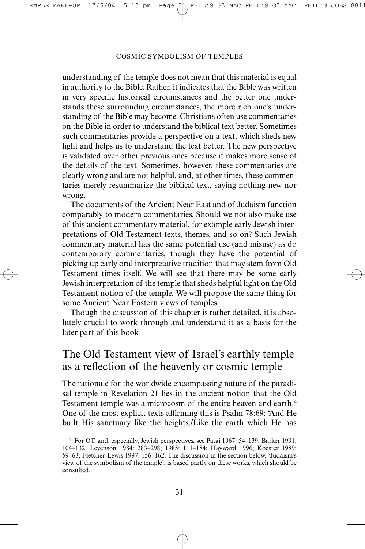understanding of the temple does not mean that this material is equal in authority to the Bible. Rather, it indicates that the Bible was written in very specific historical circumstances and the better one understands these surrounding circumstances, the more rich one's understanding of the Bible may become. Christians often use commentaries on the Bible in order to understand the biblical text better. Sometimes such commentaries provide a perspective on a text, which sheds new light and helps us to understand the text better. The new perspective is validated over other previous ones because it makes more sense of the details of the text. Sometimes, however, these commentaries are clearly wrong and are not helpful, and, at other times, these commentaries merely resummarize the biblical text, saying nothing new nor wrong.

The documents of the Ancient Near East and of Judaism function comparably to modern commentaries. Should we not also make use of this ancient commentary material, for example early Jewish interpretations of Old Testament texts, themes, and so on? Such Jewish commentary material has the same potential use (and misuse) as do contemporary commentaries, though they have the potential of picking up early oral interpretative tradition that may stem from Old Testament times itself. We will see that there may be some early Jewish interpretation of the temple that sheds helpful light on the Old Testament notion of the temple. We will propose the same thing for some Ancient Near Eastern views of temples.

Though the discussion of this chapter is rather detailed, it is absolutely crucial to work through and understand it as a basis for the later part of this book.

## The Old Testament view of Israel's earthly temple as a reflection of the heavenly or cosmic temple

The rationale for the worldwide encompassing nature of the paradisal temple in Revelation 21 lies in the ancient notion that the Old Testament temple was a microcosm of the entire heaven and earth.4 One of the most explicit texts affirming this is Psalm 78:69: 'And He built His sanctuary like the heights,/Like the earth which He has

<sup>4</sup> For OT, and, especially, Jewish perspectives, see Patai 1967: 54–139; Barker 1991: 104–132; Levenson 1984: 283–298; 1985: 111–184; Hayward 1996; Koester 1989: 59–63; Fletcher-Lewis 1997: 156–162. The discussion in the section below, 'Judaism's view of the symbolism of the temple', is based partly on these works, which should be consulted.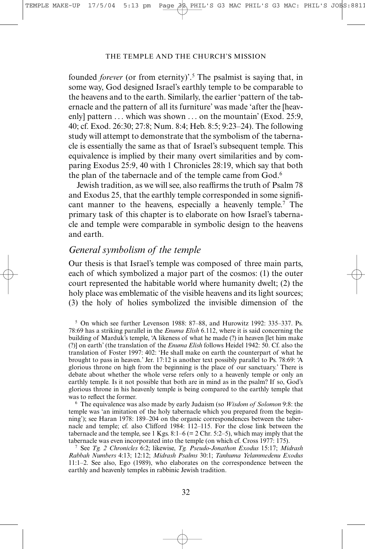founded *forever* (or from eternity)'.5 The psalmist is saying that, in some way, God designed Israel's earthly temple to be comparable to the heavens and to the earth. Similarly, the earlier 'pattern of the tabernacle and the pattern of all its furniture' was made 'after the [heavenly] pattern ... which was shown ... on the mountain' (Exod. 25:9, 40; cf. Exod. 26:30; 27:8; Num. 8:4; Heb. 8:5; 9:23–24). The following study will attempt to demonstrate that the symbolism of the tabernacle is essentially the same as that of Israel's subsequent temple. This equivalence is implied by their many overt similarities and by comparing Exodus 25:9, 40 with 1 Chronicles 28:19, which say that both the plan of the tabernacle and of the temple came from God.6

Jewish tradition, as we will see, also reaffirms the truth of Psalm 78 and Exodus 25, that the earthly temple corresponded in some significant manner to the heavens, especially a heavenly temple.7 The primary task of this chapter is to elaborate on how Israel's tabernacle and temple were comparable in symbolic design to the heavens and earth.

### *General symbolism of the temple*

Our thesis is that Israel's temple was composed of three main parts, each of which symbolized a major part of the cosmos: (1) the outer court represented the habitable world where humanity dwelt; (2) the holy place was emblematic of the visible heavens and its light sources; (3) the holy of holies symbolized the invisible dimension of the

<sup>6</sup> The equivalence was also made by early Judaism (so *Wisdom of Solomon* 9:8: the temple was 'an imitation of the holy tabernacle which you prepared from the beginning'); see Haran 1978: 189–204 on the organic correspondences between the tabernacle and temple; cf. also Clifford 1984: 112–115. For the close link between the tabernacle and the temple, see 1 Kgs.  $8:1-6 (= 2 \text{ Chr. } 5:2-5)$ , which may imply that the tabernacle was even incorporated into the temple (on which cf. Cross 1977: 175).

<sup>7</sup> See *Tg. 2 Chronicles* 6:2; likewise, *Tg. Pseudo-Jonathon Exodus* 15:17; *Midrash Rabbah Numbers* 4:13; 12:12; *Midrash Psalms* 30:1; *Tanhuma Yelammedenu Exodus* 11:1–2. See also, Ego (1989), who elaborates on the correspondence between the earthly and heavenly temples in rabbinic Jewish tradition.

<sup>5</sup> On which see further Levenson 1988: 87–88, and Hurowitz 1992: 335–337. Ps. 78:69 has a striking parallel in the *Enuma Elish* 6.112, where it is said concerning the building of Marduk's temple, 'A likeness of what he made (?) in heaven [let him make (?)] on earth' (the translation of the *Enuma Elish* follows Heidel 1942: 50. Cf. also the translation of Foster 1997: 402: 'He shall make on earth the counterpart of what he brought to pass in heaven.' Jer. 17:12 is another text possibly parallel to Ps. 78:69: 'A glorious throne on high from the beginning is the place of our sanctuary.' There is debate about whether the whole verse refers only to a heavenly temple or only an earthly temple. Is it not possible that both are in mind as in the psalm? If so, God's glorious throne in his heavenly temple is being compared to the earthly temple that was to reflect the former.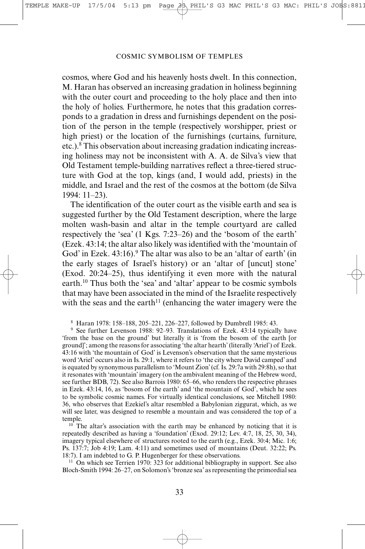cosmos, where God and his heavenly hosts dwelt. In this connection, M. Haran has observed an increasing gradation in holiness beginning with the outer court and proceeding to the holy place and then into the holy of holies. Furthermore, he notes that this gradation corresponds to a gradation in dress and furnishings dependent on the position of the person in the temple (respectively worshipper, priest or high priest) or the location of the furnishings (curtains, furniture, etc.).8 This observation about increasing gradation indicating increasing holiness may not be inconsistent with A. A. de Silva's view that Old Testament temple-building narratives reflect a three-tiered structure with God at the top, kings (and, I would add, priests) in the middle, and Israel and the rest of the cosmos at the bottom (de Silva 1994: 11–23).

The identification of the outer court as the visible earth and sea is suggested further by the Old Testament description, where the large molten wash-basin and altar in the temple courtyard are called respectively the 'sea' (1 Kgs. 7:23–26) and the 'bosom of the earth' (Ezek. 43:14; the altar also likely was identified with the 'mountain of God' in Ezek. 43:16).<sup>9</sup> The altar was also to be an 'altar of earth' (in the early stages of Israel's history) or an 'altar of [uncut] stone' (Exod. 20:24–25), thus identifying it even more with the natural earth.10 Thus both the 'sea' and 'altar' appear to be cosmic symbols that may have been associated in the mind of the Israelite respectively with the seas and the earth<sup>11</sup> (enhancing the water imagery were the

<sup>18</sup> Haran 1978: 158–188, 205–221, 226–227, followed by Dumbrell 1985: 43.

<sup>9</sup> See further Levenson 1988: 92-93. Translations of Ezek. 43:14 typically have 'from the base on the ground' but literally it is 'from the bosom of the earth [or ground]'; among the reasons for associating 'the altar hearth' (literally 'Ariel') of Ezek. 43:16 with 'the mountain of God' is Levenson's observation that the same mysterious word 'Ariel' occurs also in Is. 29:1, where it refers to 'the city where David camped' and is equated by synonymous parallelism to 'Mount Zion' (cf. Is. 29:7a with 29:8h), so that it resonates with 'mountain' imagery (on the ambivalent meaning of the Hebrew word, see further BDB, 72). See also Barrois 1980: 65–66, who renders the respective phrases in Ezek. 43:14, 16, as 'bosom of the earth' and 'the mountain of God', which he sees to be symbolic cosmic names. For virtually identical conclusions, see Mitchell 1980: 36, who observes that Ezekiel's altar resembled a Babylonian ziggurat, which, as we will see later, was designed to resemble a mountain and was considered the top of a temple.

<sup>10</sup> The altar's association with the earth may be enhanced by noticing that it is repeatedly described as having a 'foundation' (Exod. 29:12; Lev. 4:7, 18, 25, 30, 34), imagery typical elsewhere of structures rooted to the earth (e.g., Ezek. 30:4; Mic. 1:6; Ps. 137:7; Job 4:19; Lam. 4:11) and sometimes used of mountains (Deut. 32:22; Ps. 18:7). I am indebted to G. P. Hugenberger for these observations.

<sup>11</sup> On which see Terrien 1970: 323 for additional bibliography in support. See also Bloch-Smith 1994: 26–27, on Solomon's 'bronze sea' as representing the primordial sea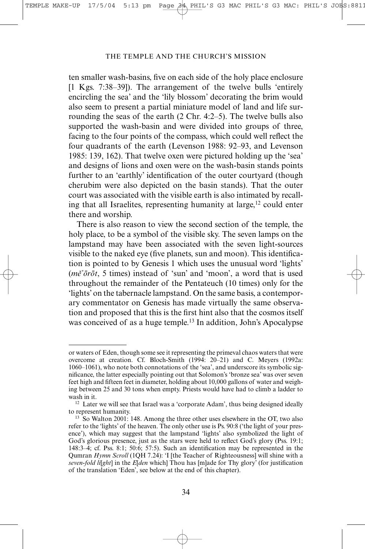ten smaller wash-basins, five on each side of the holy place enclosure [1 Kgs. 7:38–39]). The arrangement of the twelve bulls 'entirely encircling the sea' and the 'lily blossom' decorating the brim would also seem to present a partial miniature model of land and life surrounding the seas of the earth (2 Chr. 4:2–5). The twelve bulls also supported the wash-basin and were divided into groups of three, facing to the four points of the compass, which could well reflect the four quadrants of the earth (Levenson 1988: 92–93, and Levenson 1985: 139, 162). That twelve oxen were pictured holding up the 'sea' and designs of lions and oxen were on the wash-basin stands points further to an 'earthly' identification of the outer courtyard (though cherubim were also depicted on the basin stands). That the outer court was associated with the visible earth is also intimated by recalling that all Israelites, representing humanity at large,<sup>12</sup> could enter there and worship.

There is also reason to view the second section of the temple, the holy place, to be a symbol of the visible sky. The seven lamps on the lampstand may have been associated with the seven light-sources visible to the naked eye (five planets, sun and moon). This identification is pointed to by Genesis 1 which uses the unusual word 'lights' (*me'orot*, 5 times) instead of 'sun' and 'moon', a word that is used throughout the remainder of the Pentateuch (10 times) only for the 'lights' on the tabernacle lampstand. On the same basis, a contemporary commentator on Genesis has made virtually the same observation and proposed that this is the first hint also that the cosmos itself was conceived of as a huge temple.<sup>13</sup> In addition, John's Apocalypse

or waters of Eden, though some see it representing the primeval chaos waters that were overcome at creation. Cf. Bloch-Smith (1994: 20–21) and C. Meyers (1992a: 1060–1061), who note both connotations of the 'sea', and underscore its symbolic significance, the latter especially pointing out that Solomon's 'bronze sea' was over seven feet high and fifteen feet in diameter, holding about 10,000 gallons of water and weighing between 25 and 30 tons when empty. Priests would have had to climb a ladder to wash in it.

<sup>&</sup>lt;sup>12</sup> Later we will see that Israel was a 'corporate Adam', thus being designed ideally to represent humanity.

<sup>&</sup>lt;sup>13</sup> So Walton 2001: 148. Among the three other uses elsewhere in the OT, two also refer to the 'lights' of the heaven. The only other use is Ps. 90:8 ('the light of your presence'), which may suggest that the lampstand 'lights' also symbolized the light of God's glorious presence, just as the stars were held to reflect God's glory (Pss. 19:1; 148:3–4; cf. Pss. 8:1; 50:6; 57:5). Such an identification may be represented in the Qumran *Hymn Scroll* (1QH 7.24): 'I [the Teacher of Righteousness] will shine with a *seven-fold li*[*ght*] in the *E*[*den* which] Thou has [m]ade for Thy glory' (for justification of the translation 'Eden', see below at the end of this chapter).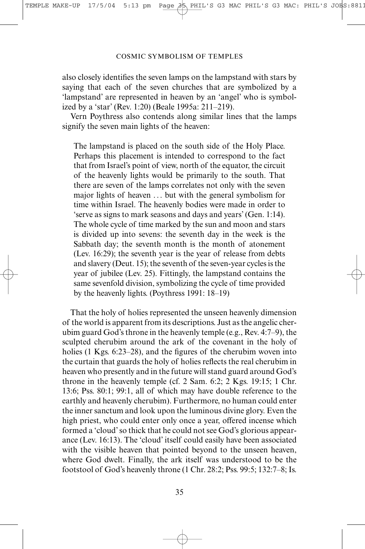also closely identifies the seven lamps on the lampstand with stars by saying that each of the seven churches that are symbolized by a 'lampstand' are represented in heaven by an 'angel' who is symbolized by a 'star' (Rev. 1:20) (Beale 1995a: 211–219).

Vern Poythress also contends along similar lines that the lamps signify the seven main lights of the heaven:

The lampstand is placed on the south side of the Holy Place. Perhaps this placement is intended to correspond to the fact that from Israel's point of view, north of the equator, the circuit of the heavenly lights would be primarily to the south. That there are seven of the lamps correlates not only with the seven major lights of heaven ... but with the general symbolism for time within Israel. The heavenly bodies were made in order to 'serve as signs to mark seasons and days and years' (Gen. 1:14). The whole cycle of time marked by the sun and moon and stars is divided up into sevens: the seventh day in the week is the Sabbath day; the seventh month is the month of atonement (Lev. 16:29); the seventh year is the year of release from debts and slavery (Deut. 15); the seventh of the seven-year cycles is the year of jubilee (Lev. 25). Fittingly, the lampstand contains the same sevenfold division, symbolizing the cycle of time provided by the heavenly lights. (Poythress 1991: 18–19)

That the holy of holies represented the unseen heavenly dimension of the world is apparent from its descriptions. Just as the angelic cherubim guard God's throne in the heavenly temple (e.g., Rev. 4:7–9), the sculpted cherubim around the ark of the covenant in the holy of holies (1 Kgs. 6:23–28), and the figures of the cherubim woven into the curtain that guards the holy of holies reflects the real cherubim in heaven who presently and in the future will stand guard around God's throne in the heavenly temple (cf. 2 Sam. 6:2; 2 Kgs. 19:15; 1 Chr. 13:6; Pss. 80:1; 99:1, all of which may have double reference to the earthly and heavenly cherubim). Furthermore, no human could enter the inner sanctum and look upon the luminous divine glory. Even the high priest, who could enter only once a year, offered incense which formed a 'cloud' so thick that he could not see God's glorious appearance (Lev. 16:13). The 'cloud' itself could easily have been associated with the visible heaven that pointed beyond to the unseen heaven, where God dwelt. Finally, the ark itself was understood to be the footstool of God's heavenly throne (1 Chr. 28:2; Pss. 99:5; 132:7–8; Is.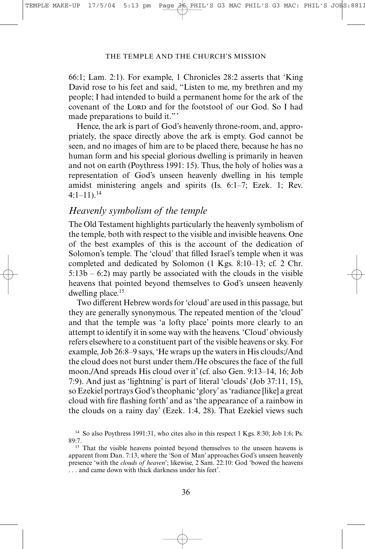66:1; Lam. 2:1). For example, 1 Chronicles 28:2 asserts that 'King David rose to his feet and said, "Listen to me, my brethren and my people; I had intended to build a permanent home for the ark of the covenant of the LORD and for the footstool of our God. So I had made preparations to build it."

Hence, the ark is part of God's heavenly throne-room, and, appropriately, the space directly above the ark is empty. God cannot be seen, and no images of him are to be placed there, because he has no human form and his special glorious dwelling is primarily in heaven and not on earth (Poythress 1991: 15). Thus, the holy of holies was a representation of God's unseen heavenly dwelling in his temple amidst ministering angels and spirits (Is. 6:1–7; Ezek. 1; Rev.  $4:1-11$ ).<sup>14</sup>

### *Heavenly symbolism of the temple*

The Old Testament highlights particularly the heavenly symbolism of the temple, both with respect to the visible and invisible heavens. One of the best examples of this is the account of the dedication of Solomon's temple. The 'cloud' that filled Israel's temple when it was completed and dedicated by Solomon (1 Kgs. 8:10–13; cf. 2 Chr.  $5:13b - 6:2$  may partly be associated with the clouds in the visible heavens that pointed beyond themselves to God's unseen heavenly dwelling place.<sup>15</sup>

Two different Hebrew words for 'cloud' are used in this passage, but they are generally synonymous. The repeated mention of the 'cloud' and that the temple was 'a lofty place' points more clearly to an attempt to identify it in some way with the heavens. 'Cloud' obviously refers elsewhere to a constituent part of the visible heavens or sky. For example, Job 26:8–9 says, 'He wraps up the waters in His clouds;/And the cloud does not burst under them./He obscures the face of the full moon,/And spreads His cloud over it' (cf. also Gen. 9:13–14, 16; Job 7:9). And just as 'lightning' is part of literal 'clouds' (Job 37:11, 15), so Ezekiel portrays God's theophanic 'glory' as 'radiance [like] a great cloud with fire flashing forth' and as 'the appearance of a rainbow in the clouds on a rainy day' (Ezek. 1:4, 28). That Ezekiel views such

<sup>&</sup>lt;sup>14</sup> So also Poythress 1991:31, who cites also in this respect 1 Kgs. 8:30; Job 1:6; Ps. 89:7.

<sup>&</sup>lt;sup>15</sup> That the visible heavens pointed beyond themselves to the unseen heavens is apparent from Dan. 7:13, where the 'Son of Man' approaches God's unseen heavenly presence 'with the *clouds of heaven*'; likewise, 2 Sam. 22:10: God 'bowed the heavens ... and came down with thick darkness under his feet'.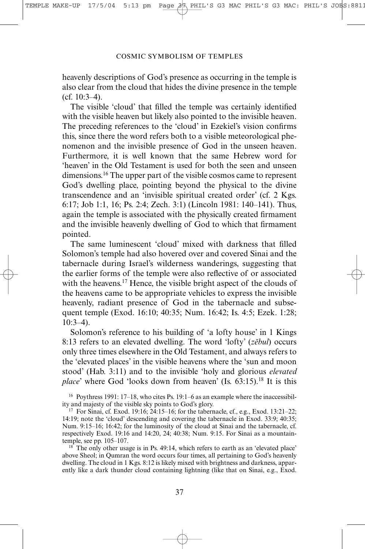heavenly descriptions of God's presence as occurring in the temple is also clear from the cloud that hides the divine presence in the temple  $(cf. 10:3-4)$ .

The visible 'cloud' that filled the temple was certainly identified with the visible heaven but likely also pointed to the invisible heaven. The preceding references to the 'cloud' in Ezekiel's vision confirms this, since there the word refers both to a visible meteorological phenomenon and the invisible presence of God in the unseen heaven. Furthermore, it is well known that the same Hebrew word for 'heaven' in the Old Testament is used for both the seen and unseen dimensions.16 The upper part of the visible cosmos came to represent God's dwelling place, pointing beyond the physical to the divine transcendence and an 'invisible spiritual created order' (cf. 2 Kgs. 6:17; Job 1:1, 16; Ps. 2:4; Zech. 3:1) (Lincoln 1981: 140–141). Thus, again the temple is associated with the physically created firmament and the invisible heavenly dwelling of God to which that firmament pointed.

The same luminescent 'cloud' mixed with darkness that filled Solomon's temple had also hovered over and covered Sinai and the tabernacle during Israel's wilderness wanderings, suggesting that the earlier forms of the temple were also reflective of or associated with the heavens.<sup>17</sup> Hence, the visible bright aspect of the clouds of the heavens came to be appropriate vehicles to express the invisible heavenly, radiant presence of God in the tabernacle and subsequent temple (Exod. 16:10; 40:35; Num. 16:42; Is. 4:5; Ezek. 1:28;  $10:3-4$ ).

Solomon's reference to his building of 'a lofty house' in 1 Kings 8:13 refers to an elevated dwelling. The word 'lofty' (*zěbul*) occurs only three times elsewhere in the Old Testament, and always refers to the 'elevated places' in the visible heavens where the 'sun and moon stood' (Hab. 3:11) and to the invisible 'holy and glorious *elevated place*' where God 'looks down from heaven' (Is. 63:15).<sup>18</sup> It is this

<sup>16</sup> Poythress 1991: 17–18, who cites Ps. 19:1–6 as an example where the inaccessibility and majesty of the visible sky points to God's glory.

<sup>17</sup> For Sinai, cf. Exod. 19:16; 24:15–16; for the tabernacle, cf., e.g., Exod. 13:21–22; 14:19; note the 'cloud' descending and covering the tabernacle in Exod. 33:9; 40:35; Num. 9:15–16; 16:42; for the luminosity of the cloud at Sinai and the tabernacle, cf. respectively Exod. 19:16 and 14:20, 24; 40:38; Num. 9:15. For Sinai as a mountaintemple, see pp. 105–107.

 $18$ <sup>18</sup> The only other usage is in Ps. 49:14, which refers to earth as an 'elevated place' above Sheol; in Qumran the word occurs four times, all pertaining to God's heavenly dwelling. The cloud in 1 Kgs. 8:12 is likely mixed with brightness and darkness, apparently like a dark thunder cloud containing lightning (like that on Sinai, e.g., Exod.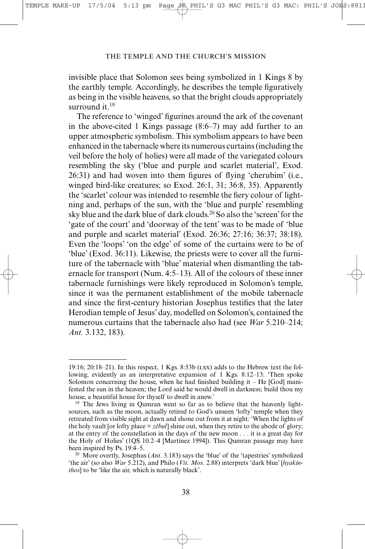TEMPLE MAKE-UP 17/5/04 5:13 pm Page  $\frac{1}{2}$  PHIL'S G3 MAC PHIL'S G3 MAC: PHIL'S JOBS:881

### THE TEMPLE AND THE CHURCH'S MISSION

invisible place that Solomon sees being symbolized in 1 Kings 8 by the earthly temple. Accordingly, he describes the temple figuratively as being in the visible heavens, so that the bright clouds appropriately surround it.<sup>19</sup>

The reference to 'winged' figurines around the ark of the covenant in the above-cited 1 Kings passage (8:6–7) may add further to an upper atmospheric symbolism. This symbolism appears to have been enhanced in the tabernacle where its numerous curtains (including the veil before the holy of holies) were all made of the variegated colours resembling the sky ('blue and purple and scarlet material', Exod. 26:31) and had woven into them figures of flying 'cherubim' (i.e., winged bird-like creatures; so Exod. 26:1, 31; 36:8, 35). Apparently the 'scarlet' colour was intended to resemble the fiery colour of lightning and, perhaps of the sun, with the 'blue and purple' resembling sky blue and the dark blue of dark clouds.20 So also the 'screen' for the 'gate of the court' and 'doorway of the tent' was to be made of 'blue and purple and scarlet material' (Exod. 26:36; 27:16; 36:37; 38:18). Even the 'loops' 'on the edge' of some of the curtains were to be of 'blue' (Exod. 36:11). Likewise, the priests were to cover all the furniture of the tabernacle with 'blue' material when dismantling the tabernacle for transport (Num. 4:5–13). All of the colours of these inner tabernacle furnishings were likely reproduced in Solomon's temple, since it was the permanent establishment of the mobile tabernacle and since the first-century historian Josephus testifies that the later Herodian temple of Jesus' day, modelled on Solomon's, contained the numerous curtains that the tabernacle also had (see *War* 5.210–214; *Ant.* 3.132, 183).

<sup>19:16; 20:18–21).</sup> In this respect, 1 Kgs. 8:53b ( $Lxx$ ) adds to the Hebrew text the following, evidently as an interpretative expansion of 1 Kgs. 8:12–13: 'Then spoke Solomon concerning the house, when he had finished building it – He [God] manifested the sun in the heaven; the Lord said he would dwell in darkness; build thou my house, a beautiful house for thyself to dwell in anew.'

<sup>&</sup>lt;sup>19</sup> The Jews living in Qumran went so far as to believe that the heavenly lightsources, such as the moon, actually retired to God's unseen 'lofty' temple when they retreated from visible sight at dawn and shone out from it at night: 'When the lights of the holy vault [or lofty place = *zebul*] shine out, when they retire to the abode of glory; at the entry of the constellation in the days of the new moon . . . it is a great day for the Holy of Holies' (1QS 10.2–4 [Martínez 1994]). This Qumran passage may have been inspired by Ps. 19:4–5.

<sup>20</sup> More overtly, Josephus (*Ant.* 3.183) says the 'blue' of the 'tapestries' symbolized 'the air' (so also *War* 5.212), and Philo (*Vit. Mos*. 2.88) interprets 'dark blue' [*hyakinthos*] to be 'like the air, which is naturally black'.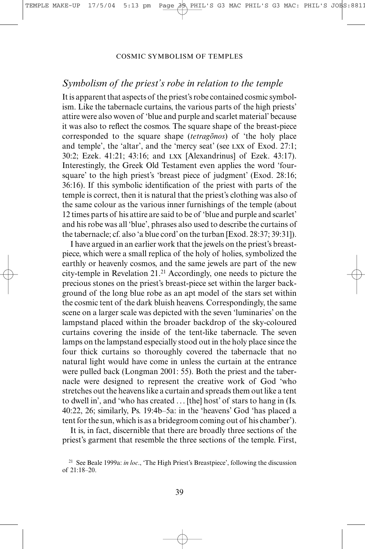## *Symbolism of the priest's robe in relation to the temple*

It is apparent that aspects of the priest's robe contained cosmic symbolism. Like the tabernacle curtains, the various parts of the high priests' attire were also woven of 'blue and purple and scarlet material' because it was also to reflect the cosmos. The square shape of the breast-piece corresponded to the square shape (*tetragonos*) of 'the holy place and temple', the 'altar', and the 'mercy seat' (see LXX of Exod. 27:1; 30:2; Ezek. 41:21; 43:16; and LXX [Alexandrinus] of Ezek. 43:17). Interestingly, the Greek Old Testament even applies the word 'foursquare' to the high priest's 'breast piece of judgment' (Exod. 28:16; 36:16). If this symbolic identification of the priest with parts of the temple is correct, then it is natural that the priest's clothing was also of the same colour as the various inner furnishings of the temple (about 12 times parts of his attire are said to be of 'blue and purple and scarlet' and his robe was all 'blue', phrases also used to describe the curtains of the tabernacle; cf. also 'a blue cord' on the turban [Exod. 28:37; 39:31]).

I have argued in an earlier work that the jewels on the priest's breastpiece, which were a small replica of the holy of holies, symbolized the earthly or heavenly cosmos, and the same jewels are part of the new city-temple in Revelation 21.21 Accordingly, one needs to picture the precious stones on the priest's breast-piece set within the larger background of the long blue robe as an apt model of the stars set within the cosmic tent of the dark bluish heavens. Correspondingly, the same scene on a larger scale was depicted with the seven 'luminaries' on the lampstand placed within the broader backdrop of the sky-coloured curtains covering the inside of the tent-like tabernacle. The seven lamps on the lampstand especially stood out in the holy place since the four thick curtains so thoroughly covered the tabernacle that no natural light would have come in unless the curtain at the entrance were pulled back (Longman 2001: 55). Both the priest and the tabernacle were designed to represent the creative work of God 'who stretches out the heavens like a curtain and spreads them out like a tent to dwell in', and 'who has created . . . [the] host' of stars to hang in (Is. 40:22, 26; similarly, Ps. 19:4b–5a: in the 'heavens' God 'has placed a tent for the sun, which is as a bridegroom coming out of his chamber').

It is, in fact, discernible that there are broadly three sections of the priest's garment that resemble the three sections of the temple. First,

<sup>21</sup> See Beale 1999a: *in loc*., 'The High Priest's Breastpiece', following the discussion of 21:18–20.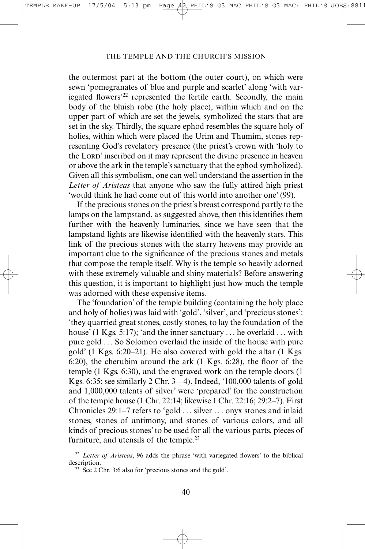the outermost part at the bottom (the outer court), on which were sewn 'pomegranates of blue and purple and scarlet' along 'with variegated flowers'22 represented the fertile earth. Secondly, the main body of the bluish robe (the holy place), within which and on the upper part of which are set the jewels, symbolized the stars that are set in the sky. Thirdly, the square ephod resembles the square holy of holies, within which were placed the Urim and Thumim, stones representing God's revelatory presence (the priest's crown with 'holy to the LORD' inscribed on it may represent the divine presence in heaven or above the ark in the temple's sanctuary that the ephod symbolized). Given all this symbolism, one can well understand the assertion in the *Letter of Aristeas* that anyone who saw the fully attired high priest 'would think he had come out of this world into another one' (99).

If the precious stones on the priest's breast correspond partly to the lamps on the lampstand, as suggested above, then this identifies them further with the heavenly luminaries, since we have seen that the lampstand lights are likewise identified with the heavenly stars. This link of the precious stones with the starry heavens may provide an important clue to the significance of the precious stones and metals that compose the temple itself. Why is the temple so heavily adorned with these extremely valuable and shiny materials? Before answering this question, it is important to highlight just how much the temple was adorned with these expensive items.

The 'foundation' of the temple building (containing the holy place and holy of holies) was laid with 'gold', 'silver', and 'precious stones': 'they quarried great stones, costly stones, to lay the foundation of the house' (1 Kgs. 5:17); 'and the inner sanctuary ... he overlaid ... with pure gold . . . So Solomon overlaid the inside of the house with pure gold' (1 Kgs. 6:20–21). He also covered with gold the altar (1 Kgs. 6:20), the cherubim around the ark (1 Kgs. 6:28), the floor of the temple (1 Kgs. 6:30), and the engraved work on the temple doors (1 Kgs. 6:35; see similarly 2 Chr.  $3-4$ ). Indeed, '100,000 talents of gold and 1,000,000 talents of silver' were 'prepared' for the construction of the temple house (1 Chr. 22:14; likewise 1 Chr. 22:16; 29:2–7). First Chronicles 29:1–7 refers to 'gold . . . silver . . . onyx stones and inlaid stones, stones of antimony, and stones of various colors, and all kinds of precious stones' to be used for all the various parts, pieces of furniture, and utensils of the temple.23

<sup>22</sup> *Letter of Aristeas*, 96 adds the phrase 'with variegated flowers' to the biblical description.

<sup>23</sup> See 2 Chr. 3:6 also for 'precious stones and the gold'.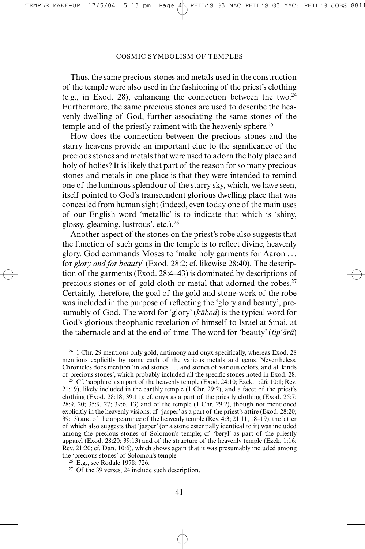Thus, the same precious stones and metals used in the construction of the temple were also used in the fashioning of the priest's clothing (e.g., in Exod. 28), enhancing the connection between the two.24 Furthermore, the same precious stones are used to describe the heavenly dwelling of God, further associating the same stones of the temple and of the priestly raiment with the heavenly sphere.<sup>25</sup>

How does the connection between the precious stones and the starry heavens provide an important clue to the significance of the precious stones and metals that were used to adorn the holy place and holy of holies? It is likely that part of the reason for so many precious stones and metals in one place is that they were intended to remind one of the luminous splendour of the starry sky, which, we have seen, itself pointed to God's transcendent glorious dwelling place that was concealed from human sight (indeed, even today one of the main uses of our English word 'metallic' is to indicate that which is 'shiny, glossy, gleaming, lustrous', etc.).26

Another aspect of the stones on the priest's robe also suggests that the function of such gems in the temple is to reflect divine, heavenly glory. God commands Moses to 'make holy garments for Aaron . . . for *glory and for beauty*' (Exod. 28:2; cf. likewise 28:40). The description of the garments (Exod. 28:4–43) is dominated by descriptions of precious stones or of gold cloth or metal that adorned the robes.27 Certainly, therefore, the goal of the gold and stone-work of the robe was included in the purpose of reflecting the 'glory and beauty', presumably of God. The word for 'glory' (*kabôd*) is the typical word for God's glorious theophanic revelation of himself to Israel at Sinai, at the tabernacle and at the end of time. The word for 'beauty' (*tip'arâ*)

<sup>&</sup>lt;sup>24</sup> 1 Chr. 29 mentions only gold, antimony and onyx specifically, whereas Exod. 28 mentions explicitly by name each of the various metals and gems. Nevertheless, Chronicles does mention 'inlaid stones ... and stones of various colors, and all kinds of precious stones', which probably included all the specific stones noted in Exod. 28.

<sup>&</sup>lt;sup>25</sup> Cf. 'sapphire' as a part of the heavenly temple (Exod. 24:10; Ezek. 1:26; 10:1; Rev. 21:19), likely included in the earthly temple (1 Chr. 29:2), and a facet of the priest's clothing (Exod. 28:18; 39:11); cf. onyx as a part of the priestly clothing (Exod. 25:7; 28:9, 20; 35:9, 27; 39:6, 13) and of the temple (1 Chr. 29:2), though not mentioned explicitly in the heavenly visions; cf. 'jasper' as a part of the priest's attire (Exod. 28:20; 39:13) and of the appearance of the heavenly temple (Rev. 4:3; 21:11, 18–19), the latter of which also suggests that 'jasper' (or a stone essentially identical to it) was included among the precious stones of Solomon's temple; cf. 'beryl' as part of the priestly apparel (Exod. 28:20; 39:13) and of the structure of the heavenly temple (Ezek. 1:16; Rev. 21:20; cf. Dan. 10:6), which shows again that it was presumably included among the 'precious stones' of Solomon's temple.

<sup>26</sup> E.g., see Rodale 1978: 726.

<sup>27</sup> Of the 39 verses, 24 include such description.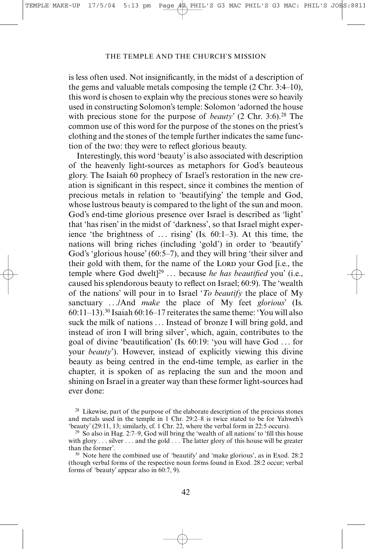is less often used. Not insignificantly, in the midst of a description of the gems and valuable metals composing the temple (2 Chr. 3:4–10), this word is chosen to explain why the precious stones were so heavily used in constructing Solomon's temple: Solomon 'adorned the house with precious stone for the purpose of *beauty*' (2 Chr. 3:6).<sup>28</sup> The common use of this word for the purpose of the stones on the priest's clothing and the stones of the temple further indicates the same function of the two: they were to reflect glorious beauty.

Interestingly, this word 'beauty' is also associated with description of the heavenly light-sources as metaphors for God's beauteous glory. The Isaiah 60 prophecy of Israel's restoration in the new creation is significant in this respect, since it combines the mention of precious metals in relation to 'beautifying' the temple and God, whose lustrous beauty is compared to the light of the sun and moon. God's end-time glorious presence over Israel is described as 'light' that 'has risen' in the midst of 'darkness', so that Israel might experience 'the brightness of  $\ldots$  rising' (Is. 60:1–3). At this time, the nations will bring riches (including 'gold') in order to 'beautify' God's 'glorious house' (60:5–7), and they will bring 'their silver and their gold with them, for the name of the LORD your God [i.e., the temple where God dwelt]<sup>29</sup> ... because *he has beautified* you' (i.e., caused his splendorous beauty to reflect on Israel; 60:9). The 'wealth of the nations' will pour in to Israel '*To beautify* the place of My sanctuary . . ./And *make* the place of My feet *glorious*' (Is.  $60:11-13$ .<sup>30</sup> Isaiah  $60:16-17$  reiterates the same theme: 'You will also suck the milk of nations ... Instead of bronze I will bring gold, and instead of iron I will bring silver', which, again, contributes to the goal of divine 'beautification' (Is. 60:19: 'you will have God . . . for your *beauty*'). However, instead of explicitly viewing this divine beauty as being centred in the end-time temple, as earlier in the chapter, it is spoken of as replacing the sun and the moon and shining on Israel in a greater way than these former light-sources had ever done:

<sup>&</sup>lt;sup>28</sup> Likewise, part of the purpose of the elaborate description of the precious stones and metals used in the temple in 1 Chr. 29:2–8 is twice stated to be for Yahweh's 'beauty' (29:11, 13; similarly, cf. 1 Chr. 22, where the verbal form in 22:5 occurs).

<sup>&</sup>lt;sup>29</sup> So also in Hag. 2:7–9, God will bring the 'wealth of all nations' to 'fill this house with glory . . . silver . . . and the gold . . . The latter glory of this house will be greater than the former'.

<sup>30</sup> Note here the combined use of 'beautify' and 'make glorious', as in Exod. 28:2 (though verbal forms of the respective noun forms found in Exod. 28:2 occur; verbal forms of 'beauty' appear also in 60:7, 9).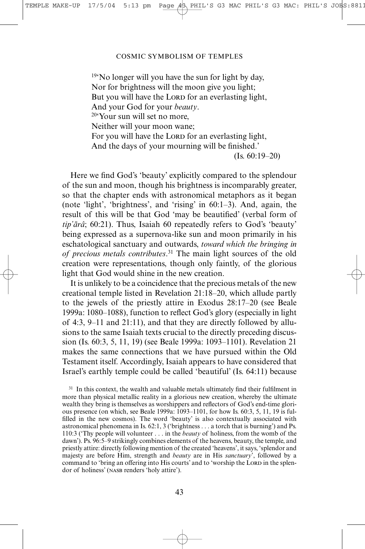19'No longer will you have the sun for light by day, Nor for brightness will the moon give you light; But you will have the LORD for an everlasting light, And your God for your *beauty*. 20'Your sun will set no more, Neither will your moon wane; For you will have the LORD for an everlasting light, And the days of your mourning will be finished.'

(Is. 60:19–20)

Here we find God's 'beauty' explicitly compared to the splendour of the sun and moon, though his brightness is incomparably greater, so that the chapter ends with astronomical metaphors as it began (note 'light', 'brightness', and 'rising' in 60:1–3). And, again, the result of this will be that God 'may be beautified' (verbal form of *tip'arâ*; 60:21). Thus, Isaiah 60 repeatedly refers to God's 'beauty' being expressed as a supernova-like sun and moon primarily in his eschatological sanctuary and outwards, *toward which the bringing in of precious metals contributes*. <sup>31</sup> The main light sources of the old creation were representations, though only faintly, of the glorious light that God would shine in the new creation.

It is unlikely to be a coincidence that the precious metals of the new creational temple listed in Revelation 21:18–20, which allude partly to the jewels of the priestly attire in Exodus 28:17–20 (see Beale 1999a: 1080–1088), function to reflect God's glory (especially in light of 4:3, 9–11 and 21:11), and that they are directly followed by allusions to the same Isaiah texts crucial to the directly preceding discussion (Is. 60:3, 5, 11, 19) (see Beale 1999a: 1093–1101). Revelation 21 makes the same connections that we have pursued within the Old Testament itself. Accordingly, Isaiah appears to have considered that Israel's earthly temple could be called 'beautiful' (Is. 64:11) because

 $31$  In this context, the wealth and valuable metals ultimately find their fulfilment in more than physical metallic reality in a glorious new creation, whereby the ultimate wealth they bring is themselves as worshippers and reflectors of God's end-time glorious presence (on which, see Beale 1999a: 1093–1101, for how Is. 60:3, 5, 11, 19 is fulfilled in the new cosmos). The word 'beauty' is also contextually associated with astronomical phenomena in Is. 62:1, 3 ('brightness . . . a torch that is burning') and Ps. 110:3 ('Thy people will volunteer ... in the *beauty* of holiness, from the womb of the dawn'). Ps. 96:5–9 strikingly combines elements of the heavens, beauty, the temple, and priestly attire: directly following mention of the created 'heavens', it says, 'splendor and majesty are before Him, strength and *beauty* are in His *sanctuary*', followed by a command to 'bring an offering into His courts' and to 'worship the LORD in the splendor of holiness' (NASB renders 'holy attire').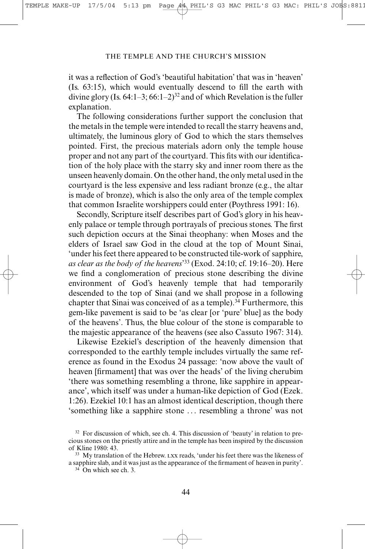it was a reflection of God's 'beautiful habitation' that was in 'heaven' (Is. 63:15), which would eventually descend to fill the earth with divine glory (Is.  $64:1-3$ ;  $66:1-2$ )<sup>32</sup> and of which Revelation is the fuller explanation.

The following considerations further support the conclusion that the metals in the temple were intended to recall the starry heavens and, ultimately, the luminous glory of God to which the stars themselves pointed. First, the precious materials adorn only the temple house proper and not any part of the courtyard. This fits with our identification of the holy place with the starry sky and inner room there as the unseen heavenly domain. On the other hand, the only metal used in the courtyard is the less expensive and less radiant bronze (e.g., the altar is made of bronze), which is also the only area of the temple complex that common Israelite worshippers could enter (Poythress 1991: 16).

Secondly, Scripture itself describes part of God's glory in his heavenly palace or temple through portrayals of precious stones. The first such depiction occurs at the Sinai theophany: when Moses and the elders of Israel saw God in the cloud at the top of Mount Sinai, 'under his feet there appeared to be constructed tile-work of sapphire, *as clear as the body of the heavens*' <sup>33</sup> (Exod. 24:10; cf. 19:16–20). Here we find a conglomeration of precious stone describing the divine environment of God's heavenly temple that had temporarily descended to the top of Sinai (and we shall propose in a following chapter that Sinai was conceived of as a temple).<sup>34</sup> Furthermore, this gem-like pavement is said to be 'as clear [or 'pure' blue] as the body of the heavens'. Thus, the blue colour of the stone is comparable to the majestic appearance of the heavens (see also Cassuto 1967: 314).

Likewise Ezekiel's description of the heavenly dimension that corresponded to the earthly temple includes virtually the same reference as found in the Exodus 24 passage: 'now above the vault of heaven [firmament] that was over the heads' of the living cherubim 'there was something resembling a throne, like sapphire in appearance', which itself was under a human-like depiction of God (Ezek. 1:26). Ezekiel 10:1 has an almost identical description, though there 'something like a sapphire stone . . . resembling a throne' was not

 $32$  For discussion of which, see ch. 4. This discussion of 'beauty' in relation to precious stones on the priestly attire and in the temple has been inspired by the discussion of Kline 1980: 43.

<sup>&</sup>lt;sup>33</sup> My translation of the Hebrew. LXX reads, 'under his feet there was the likeness of a sapphire slab, and it was just as the appearance of the firmament of heaven in purity'.

<sup>34</sup> On which see ch. 3.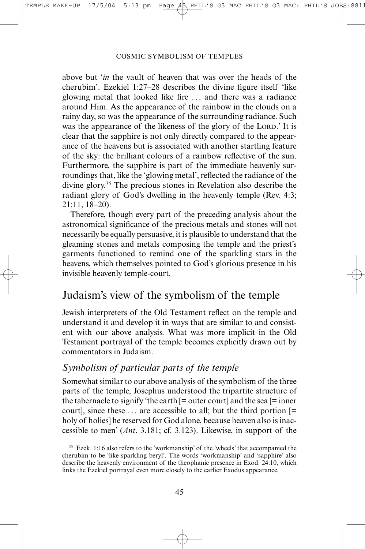above but '*in* the vault of heaven that was over the heads of the cherubim'. Ezekiel 1:27–28 describes the divine figure itself 'like glowing metal that looked like fire ... and there was a radiance around Him. As the appearance of the rainbow in the clouds on a rainy day, so was the appearance of the surrounding radiance. Such was the appearance of the likeness of the glory of the LORD. It is clear that the sapphire is not only directly compared to the appearance of the heavens but is associated with another startling feature of the sky: the brilliant colours of a rainbow reflective of the sun. Furthermore, the sapphire is part of the immediate heavenly surroundings that, like the 'glowing metal', reflected the radiance of the divine glory.35 The precious stones in Revelation also describe the radiant glory of God's dwelling in the heavenly temple (Rev. 4:3; 21:11, 18–20).

Therefore, though every part of the preceding analysis about the astronomical significance of the precious metals and stones will not necessarily be equally persuasive, it is plausible to understand that the gleaming stones and metals composing the temple and the priest's garments functioned to remind one of the sparkling stars in the heavens, which themselves pointed to God's glorious presence in his invisible heavenly temple-court.

## Judaism's view of the symbolism of the temple

Jewish interpreters of the Old Testament reflect on the temple and understand it and develop it in ways that are similar to and consistent with our above analysis. What was more implicit in the Old Testament portrayal of the temple becomes explicitly drawn out by commentators in Judaism.

### *Symbolism of particular parts of the temple*

Somewhat similar to our above analysis of the symbolism of the three parts of the temple, Josephus understood the tripartite structure of the tabernacle to signify 'the earth [= outer court] and the sea [= inner court], since these  $\dots$  are accessible to all; but the third portion  $\mathfrak{p}$ holy of holies] he reserved for God alone, because heaven also is inaccessible to men' (*Ant*. 3.181; cf. 3.123). Likewise, in support of the

<sup>35</sup> Ezek. 1:16 also refers to the 'workmanship' of the 'wheels' that accompanied the cherubim to be 'like sparkling beryl'. The words 'workmanship' and 'sapphire' also describe the heavenly environment of the theophanic presence in Exod. 24:10, which links the Ezekiel portrayal even more closely to the earlier Exodus appearance.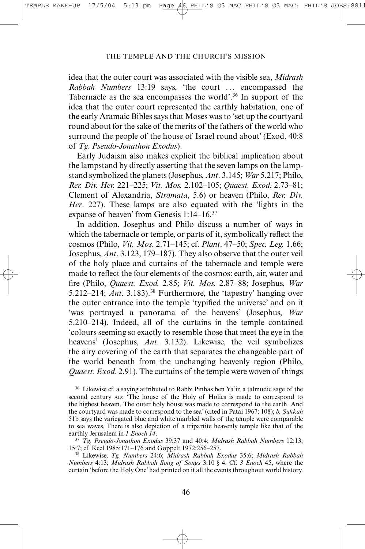idea that the outer court was associated with the visible sea, *Midrash Rabbah Numbers* 13:19 says, 'the court ... encompassed the Tabernacle as the sea encompasses the world'.36 In support of the idea that the outer court represented the earthly habitation, one of the early Aramaic Bibles says that Moses was to 'set up the courtyard round about for the sake of the merits of the fathers of the world who surround the people of the house of Israel round about' (Exod. 40:8 of *Tg. Pseudo-Jonathon Exodus*).

Early Judaism also makes explicit the biblical implication about the lampstand by directly asserting that the seven lamps on the lampstand symbolized the planets (Josephus, *Ant*. 3.145; *War* 5.217; Philo, *Rer. Div. Her.* 221–225; *Vit. Mos.* 2.102–105; *Quaest. Exod.* 2.73–81; Clement of Alexandria, *Stromata*, 5.6) or heaven (Philo, *Rer. Div. Her*. 227). These lamps are also equated with the 'lights in the expanse of heaven' from Genesis 1:14–16.37

In addition, Josephus and Philo discuss a number of ways in which the tabernacle or temple, or parts of it, symbolically reflect the cosmos (Philo, *Vit. Mos.* 2.71–145; cf. *Plant*. 47–50; *Spec. Leg.* 1.66; Josephus, *Ant*. 3.123, 179–187). They also observe that the outer veil of the holy place and curtains of the tabernacle and temple were made to reflect the four elements of the cosmos: earth, air, water and fire (Philo, *Quaest. Exod.* 2.85; *Vit. Mos.* 2.87–88; Josephus, *War* 5.212–214; *Ant*. 3.183).<sup>38</sup> Furthermore, the 'tapestry' hanging over the outer entrance into the temple 'typified the universe' and on it 'was portrayed a panorama of the heavens' (Josephus, *War* 5.210–214). Indeed, all of the curtains in the temple contained 'colours seeming so exactly to resemble those that meet the eye in the heavens' (Josephus, *Ant*. 3.132). Likewise, the veil symbolizes the airy covering of the earth that separates the changeable part of the world beneath from the unchanging heavenly region (Philo, *Quaest. Exod.* 2.91). The curtains of the temple were woven of things

<sup>37</sup> *Tg. Pseudo-Jonathon Exodus* 39:37 and 40:4; *Midrash Rabbah Numbers* 12:13; 15:7; cf. Keel 1985:171–176 and Goppelt 1972:256–257.

<sup>38</sup> Likewise, *Tg. Numbers* 24:6; *Midrash Rabbah Exodus* 35:6; *Midrash Rabbah Numbers* 4:13; *Midrash Rabbah Song of Songs* 3:10 § 4. Cf. *3 Enoch* 45, where the curtain 'before the Holy One' had printed on it all the events throughout world history.

<sup>36</sup> Likewise cf. a saying attributed to Rabbi Pinhas ben Ya'ir, a talmudic sage of the second century AD: 'The house of the Holy of Holies is made to correspond to the highest heaven. The outer holy house was made to correspond to the earth. And the courtyard was made to correspond to the sea' (cited in Patai 1967: 108); *b. Sukkah* 51b says the variegated blue and white marbled walls of the temple were comparable to sea waves. There is also depiction of a tripartite heavenly temple like that of the earthly Jerusalem in *1 Enoch 14*.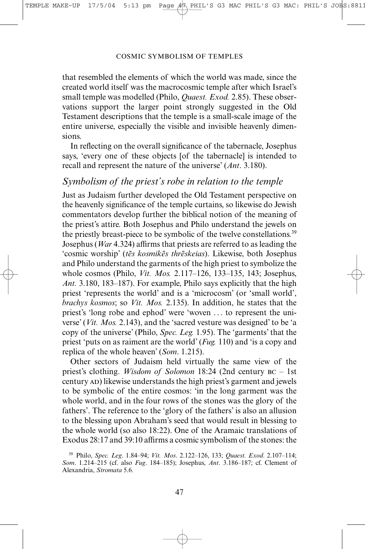that resembled the elements of which the world was made, since the created world itself was the macrocosmic temple after which Israel's small temple was modelled (Philo, *Quaest. Exod.* 2.85). These observations support the larger point strongly suggested in the Old Testament descriptions that the temple is a small-scale image of the entire universe, especially the visible and invisible heavenly dimensions.

In reflecting on the overall significance of the tabernacle, Josephus says, 'every one of these objects [of the tabernacle] is intended to recall and represent the nature of the universe' (*Ant*. 3.180).

### *Symbolism of the priest's robe in relation to the temple*

Just as Judaism further developed the Old Testament perspective on the heavenly significance of the temple curtains, so likewise do Jewish commentators develop further the biblical notion of the meaning of the priest's attire. Both Josephus and Philo understand the jewels on the priestly breast-piece to be symbolic of the twelve constellations.39 Josephus (*War* 4.324) affirms that priests are referred to as leading the 'cosmic worship' (*tes kosmikes threskeias*). Likewise, both Josephus and Philo understand the garments of the high priest to symbolize the whole cosmos (Philo, *Vit. Mos.* 2.117–126, 133–135, 143; Josephus, *Ant.* 3.180, 183–187). For example, Philo says explicitly that the high priest 'represents the world' and is a 'microcosm' (or 'small world', *brachys kosmos*; so *Vit. Mos.* 2.135). In addition, he states that the priest's 'long robe and ephod' were 'woven . . . to represent the universe' (*Vit. Mos.* 2.143), and the 'sacred vesture was designed' to be 'a copy of the universe' (Philo, *Spec. Leg.* 1.95). The 'garments' that the priest 'puts on as raiment are the world' (*Fug.* 110) and 'is a copy and replica of the whole heaven' (*Som*. 1.215).

Other sectors of Judaism held virtually the same view of the priest's clothing. *Wisdom of Solomon* 18:24 (2nd century  $BC - 1st$ century AD) likewise understands the high priest's garment and jewels to be symbolic of the entire cosmos: 'in the long garment was the whole world, and in the four rows of the stones was the glory of the fathers'. The reference to the 'glory of the fathers' is also an allusion to the blessing upon Abraham's seed that would result in blessing to the whole world (so also 18:22). One of the Aramaic translations of Exodus 28:17 and 39:10 affirms a cosmic symbolism of the stones: the

<sup>39</sup> Philo, *Spec. Leg*. 1.84–94; *Vit. Mos*. 2.122–126, 133; *Quaest. Exod*. 2.107–114; *Som*. 1.214–215 (cf. also *Fug*. 184–185); Josephus, *Ant*. 3.186–187; cf. Clement of Alexandria, *Stromata* 5.6.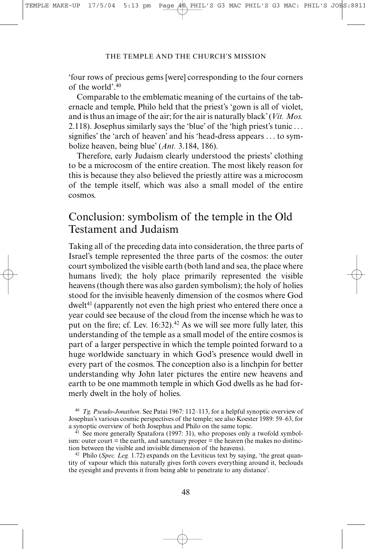'four rows of precious gems [were] corresponding to the four corners of the world'.40

Comparable to the emblematic meaning of the curtains of the tabernacle and temple, Philo held that the priest's 'gown is all of violet, and is thus an image of the air; for the air is naturally black' (*Vit. Mos.* 2.118). Josephus similarly says the 'blue' of the 'high priest's tunic . . . signifies' the 'arch of heaven' and his 'head-dress appears . . . to symbolize heaven, being blue' (*Ant.* 3.184, 186).

Therefore, early Judaism clearly understood the priests' clothing to be a microcosm of the entire creation. The most likely reason for this is because they also believed the priestly attire was a microcosm of the temple itself, which was also a small model of the entire cosmos.

## Conclusion: symbolism of the temple in the Old Testament and Judaism

Taking all of the preceding data into consideration, the three parts of Israel's temple represented the three parts of the cosmos: the outer court symbolized the visible earth (both land and sea, the place where humans lived); the holy place primarily represented the visible heavens (though there was also garden symbolism); the holy of holies stood for the invisible heavenly dimension of the cosmos where God dwelt<sup>41</sup> (apparently not even the high priest who entered there once a year could see because of the cloud from the incense which he was to put on the fire; cf. Lev. 16:32).<sup>42</sup> As we will see more fully later, this understanding of the temple as a small model of the entire cosmos is part of a larger perspective in which the temple pointed forward to a huge worldwide sanctuary in which God's presence would dwell in every part of the cosmos. The conception also is a linchpin for better understanding why John later pictures the entire new heavens and earth to be one mammoth temple in which God dwells as he had formerly dwelt in the holy of holies.

<sup>42</sup> Philo (*Spec. Leg.* 1.72) expands on the Leviticus text by saying, 'the great quantity of vapour which this naturally gives forth covers everything around it, beclouds the eyesight and prevents it from being able to penetrate to any distance'.

<sup>40</sup> *Tg. Pseudo-Jonathon*. See Patai 1967: 112–113, for a helpful synoptic overview of Josephus's various cosmic perspectives of the temple; see also Koester 1989: 59–63, for a synoptic overview of both Josephus and Philo on the same topic.

<sup>&</sup>lt;sup>41</sup> See more generally Spatafora (1997: 31), who proposes only a twofold symbolism: outer court  $=$  the earth, and sanctuary proper  $=$  the heaven (he makes no distinction between the visible and invisible dimension of the heavens).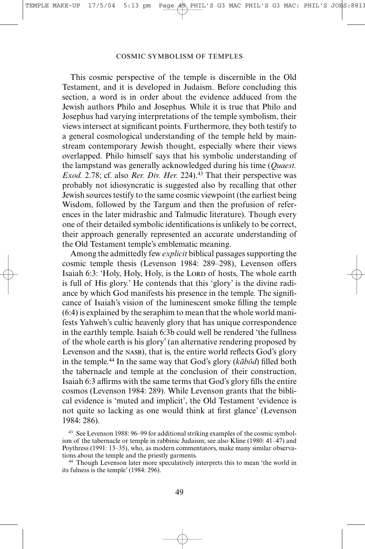This cosmic perspective of the temple is discernible in the Old Testament, and it is developed in Judaism. Before concluding this section, a word is in order about the evidence adduced from the Jewish authors Philo and Josephus. While it is true that Philo and Josephus had varying interpretations of the temple symbolism, their views intersect at significant points. Furthermore, they both testify to a general cosmological understanding of the temple held by mainstream contemporary Jewish thought, especially where their views overlapped. Philo himself says that his symbolic understanding of the lampstand was generally acknowledged during his time (*Quaest. Exod.* 2.78; cf. also *Rer. Div. Her.* 224).<sup>43</sup> That their perspective was probably not idiosyncratic is suggested also by recalling that other Jewish sources testify to the same cosmic viewpoint (the earliest being Wisdom, followed by the Targum and then the profusion of references in the later midrashic and Talmudic literature). Though every one of their detailed symbolic identifications is unlikely to be correct, their approach generally represented an accurate understanding of the Old Testament temple's emblematic meaning.

Among the admittedly few *explicit* biblical passages supporting the cosmic temple thesis (Levenson 1984: 289–298), Levenson offers Isaiah 6:3: 'Holy, Holy, Holy, is the LORD of hosts, The whole earth is full of His glory.' He contends that this 'glory' is the divine radiance by which God manifests his presence in the temple. The significance of Isaiah's vision of the luminescent smoke filling the temple (6:4) is explained by the seraphim to mean that the whole world manifests Yahweh's cultic heavenly glory that has unique correspondence in the earthly temple. Isaiah 6:3b could well be rendered 'the fullness of the whole earth is his glory' (an alternative rendering proposed by Levenson and the NASB), that is, the entire world reflects God's glory in the temple.44 In the same way that God's glory (*kabôd*) filled both the tabernacle and temple at the conclusion of their construction, Isaiah 6:3 affirms with the same terms that God's glory fills the entire cosmos (Levenson 1984: 289). While Levenson grants that the biblical evidence is 'muted and implicit', the Old Testament 'evidence is not quite so lacking as one would think at first glance' (Levenson 1984: 286).

<sup>43</sup> See Levenson 1988: 96–99 for additional striking examples of the cosmic symbolism of the tabernacle or temple in rabbinic Judaism; see also Kline (1980: 41–47) and Poythress (1991: 13–35), who, as modern commentators, make many similar observations about the temple and the priestly garments.

<sup>44</sup> Though Levenson later more speculatively interprets this to mean 'the world in its fulness is the temple' (1984: 296).